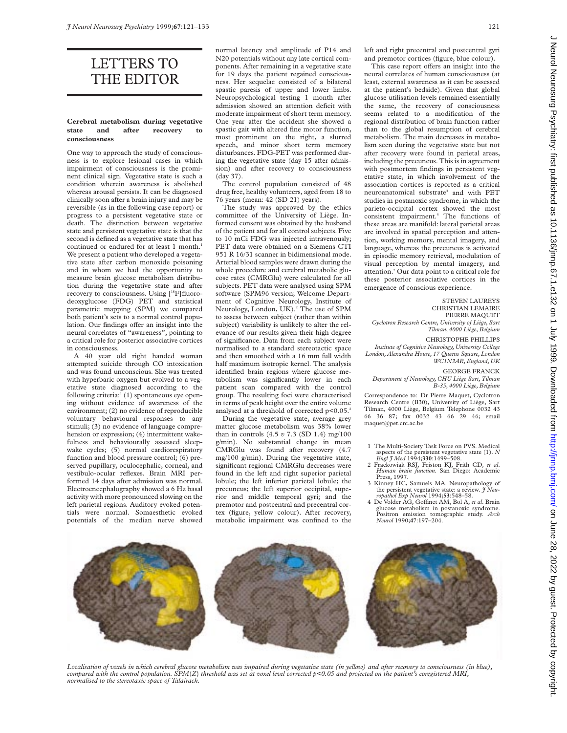# LETTERS TO THE EDITOR

#### **Cerebral metabolism during vegetative state and after recovery to consciousness**

One way to approach the study of consciousness is to explore lesional cases in which impairment of consciousness is the prominent clinical sign. Vegetative state is such a condition wherein awareness is abolished whereas arousal persists. It can be diagnosed clinically soon after a brain injury and may be reversible (as in the following case report) or progress to a persistent vegetative state or death. The distinction between vegetative state and persistent vegetative state is that the second is defined as a vegetative state that has continued or endured for at least 1 month.<sup>1</sup> We present a patient who developed a vegetative state after carbon monoxide poisoning and in whom we had the opportunity to measure brain glucose metabolism distribution during the vegetative state and after recovery to consciousness. Using [18F]fluorodeoxyglucose (FDG) PET and statistical parametric mapping (SPM) we compared both patient's sets to a normal control population. Our findings offer an insight into the neural correlates of "awareness", pointing to a critical role for posterior associative cortices in consciousness.

A 40 year old right handed woman attempted suicide through CO intoxication and was found unconscious. She was treated with hyperbaric oxygen but evolved to a vegetative state diagnosed according to the following criteria: $(1)$  spontaneous eye opening without evidence of awareness of the environment; (2) no evidence of reproducible voluntary behavioural responses to any stimuli; (3) no evidence of language comprehension or expression; (4) intermittent wakefulness and behaviourally assessed sleepwake cycles; (5) normal cardiorespiratory function and blood pressure control; (6) preserved pupillary, oculocephalic, corneal, and vestibulo-ocular reflexes. Brain MRI performed 14 days after admission was normal. Electroencephalography showed a 6 Hz basal activity with more pronounced slowing on the left parietal regions. Auditory evoked potentials were normal. Somaesthetic evoked potentials of the median nerve showed normal latency and amplitude of P14 and N20 potentials without any late cortical components. After remaining in a vegetative state for 19 days the patient regained consciousness. Her sequelae consisted of a bilateral spastic paresis of upper and lower limbs. Neuropsychological testing 1 month after admission showed an attention deficit with moderate impairment of short term memory. One year after the accident she showed a spastic gait with altered fine motor function, most prominent on the right, a slurred speech, and minor short term memory disturbances. FDG-PET was performed during the vegetative state (day 15 after admission) and after recovery to consciousness (day 37).

The control population consisted of 48 drug free, healthy volunteers, aged from 18 to 76 years (mean: 42 (SD 21) years).

The study was approved by the ethics committee of the University of Liège. Informed consent was obtained by the husband of the patient and for all control subjects. Five to 10 mCi FDG was injected intravenously; PET data were obtained on a Siemens CTI 951 R 16/31 scanner in bidimensional mode. Arterial blood samples were drawn during the whole procedure and cerebral metabolic glucose rates (CMRGlu) were calculated for all subjects. PET data were analysed using SPM software (SPM96 version; Welcome Department of Cognitive Neurology, Institute of Neurology, London, UK).<sup>2</sup> The use of SPM to assess between subject (rather than within subject) variability is unlikely to alter the relevance of our results given their high degree of significance. Data from each subject were normalised to a standard stereotactic space and then smoothed with a 16 mm full width half maximum isotropic kernel. The analysis identified brain regions where glucose metabolism was significantly lower in each patient scan compared with the control group. The resulting foci were characterised in terms of peak height over the entire volume analysed at a threshold of corrected  $p<0.05$ .<sup>2</sup>

During the vegetative state, average grey matter glucose metabolism was 38% lower than in controls (4.5 *v* 7.3 (SD 1.4) mg/100 g/min). No substantial change in mean CMRGlu was found after recovery (4.7 mg/100 g/min). During the vegetative state, significant regional CMRGlu decreases were found in the left and right superior parietal lobule; the left inferior parietal lobule; the precuneus; the left superior occipital, superior and middle temporal gyri; and the premotor and postcentral and precentral cortex (figure, yellow colour). After recovery, metabolic impairment was confined to the

left and right precentral and postcentral gyri and premotor cortices (figure, blue colour).

This case report offers an insight into the neural correlates of human consciousness (at least, external awareness as it can be assessed at the patient's bedside). Given that global glucose utilisation levels remained essentially the same, the recovery of consciousness seems related to a modification of the regional distribution of brain function rather than to the global resumption of cerebral metabolism. The main decreases in metabolism seen during the vegetative state but not after recovery were found in parietal areas, including the precuneus. This is in agreement with postmortem findings in persistent vegetative state, in which involvement of the association cortices is reported as a critical neuroanatomical substrate<sup>3</sup> and with PET studies in postanoxic syndrome, in which the parieto-occipital cortex showed the most consistent impairment.4 The functions of these areas are manifold: lateral parietal areas are involved in spatial perception and attention, working memory, mental imagery, and language, whereas the precuneus is activated in episodic memory retrieval, modulation of visual perception by mental imagery, and attention.<sup>2</sup> Our data point to a critical role for these posterior associative cortices in the emergence of conscious experience.

STEVEN LAUREYS CHRISTIAN LEMAIRE PIERRE MAQUET *Cyclotron Research Centre, University of Liège, Sart Tilman, 4000 Liège, Belgium*

CHRISTOPHE PHILLIPS *Institute of Cognitive Neurology, University College London, Alexandra House, 17 Queens Square, London WC1N3AR, England, UK*

GEORGE FRANCK

*Department of Neurology, CHU Liège Sart, Tilman B-35, 4000 Liège, Belgium*

Correspondence to: Dr Pierre Maquet, Cyclotron Research Centre (B30), University of Liège, Sart Tilman, 4000 Liège, Belgium Telephone 0032 43 66 36 87; fax 0032 43 66 29 46; email maquet@pet.crc.ac.be

1 The Multi-Society Task Force on PVS. Medical aspects of the persistent vegetative state (1). *N Engl J Med* 1994;**330**:1499–508.

- 2 Frackowiak RSJ, Friston KJ, Frith CD, *et al*. *Human brain function*. San Diego: Academic Press, 1997.
- 3 Kinney HC, Samuels MA. Neuropathology of the persistent vegetative state: a review*. J Neuropathol Exp Neurol* 1994;**53**:548–58.
- 4 De Volder AG, Goffinet AM, Bol A, et al. Brain glucose metabolism in postanoxic syndrome. Positron emission tomographic study. *Arch Neurol* 1990;**47**:197–204.



*Localisation of voxels in which cerebral glucose metabolism was impaired during vegetative state (in yellow) and after recovery to consciousness (in blue), compared with the control population. SPM{Z} threshold was set at voxel level corrected p<0.05 and projected on the patient's coregistered MRI, normalised to the stereotaxic space of Talairach.*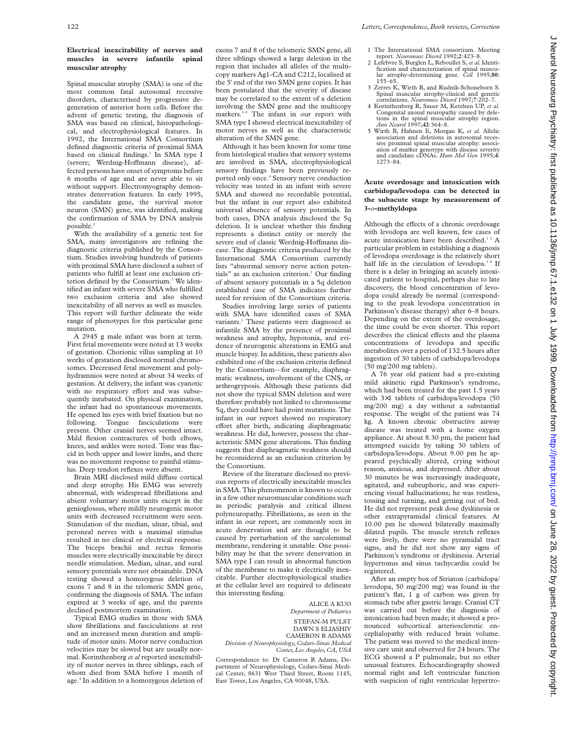#### 122 *Letters, Correspondence, Book reviews, Correction*

- 1 The International SMA consortium. Meeting report. *Neuromusc Disord* 1992;**2**:423–8.
- 2 Lefebvre S, Burglen L, Reboullet S, *et al.*Identification and characterization of spinal muscular atrophy-determining gene. *Cell* 1995;**80**: 155–65.
- 3 Zerres K, Wirth B, and Rudnik-Schoneborn S. Spinal muscular atrophy-clinical and genetic correlations. *Neuromusc Disord* 1997;**7**:202–7.
- 4 Korinthenberg R, Sauer M, Ketelsen UP, *et al.* Congenital axonal neuropathy caused by deletions in the spinal muscular atrophy region. *Ann Neurol* 1997;**42**:364–8.
- 5 Wirth B, Hahnen E, Morgan K, *et al*. Allelic association and deletions in autosomal recessive proximal spinal muscular atrophy: associ-ation of marker genotype with disease severity and candidate cDNAs. *Hum Mol Gen* 1995;**4**: 1273–84.

## **Acute overdosage and intoxication with carbidopa/levodopa can be detected in the subacute stage by measurement of 3-***o***-methyldopa**

Although the effects of a chronic overdosage with levodopa are well known, few cases of acute intoxication have been described.<sup>12</sup> A particular problem in establishing a diagnosis of levodopa overdosage is the relatively short half life in the circulation of levodopa.<sup>34</sup> If there is a delay in bringing an acutely intoxicated patient to hospital, perhaps due to late discovery, the blood concentration of levodopa could already be normal (corresponding to the peak levodopa concentration in Parkinson's disease therapy) after 6–8 hours. Depending on the extent of the overdosage, the time could be even shorter. This report describes the clinical effects and the plasma concentrations of levodopa and specific metabolites over a period of 132.5 hours after ingestion of 30 tablets of carbidopa/levodopa (50 mg/200 mg tablets).

A 76 year old patient had a pre-existing mild akinetic rigid Parkinson's syndrome, which had been treated for the past 1.5 years with 3×1 tablets of carbidopa/levodopa (50 mg/200 mg) a day without a substantial response. The weight of the patient was 74 kg. A known chronic obstructive airway disease was treated with a home oxygen appliance. At about 8.30 pm, the patient had attempted suicide by taking 30 tablets of carbidopa/levodopa. About 9.00 pm he appeared psychically altered, crying without reason, anxious, and depressed. After about 30 minutes he was increasingly inadequate, agitated, and subeuphoric, and was experiencing visual hallucinations; he was restless, tossing and turning, and getting out of bed. He did not represent peak dose dyskinesia or other extrapyramidal clinical features. At 10.00 pm he showed bilaterally maximally dilated pupils. The muscle stretch reflexes were lively, there were no pyramidal tract signs, and he did not show any signs of Parkinson's syndrome or dyskinesia. Arterial hypertonus and sinus tachycardia could be registered.

After an empty box of Striaton (carbidopa/ levodopa, 50 mg/200 mg) was found in the patient's flat, 1 g of carbon was given by stomach tube after gastric lavage. Cranial CT was carried out before the diagnosis of intoxication had been made; it showed a pronounced subcortical arteriosclerotic encephalopathy with reduced brain volume. The patient was moved to the medical intensive care unit and observed for 24 hours. The ECG showed a P pulmonale, but no other unusual features. Echocardiography showed normal right and left ventricular function with suspicion of right ventricular hypertro-

# **Electrical inexcitability of nerves and muscles in severe infantile spinal muscular atrophy**

Spinal muscular atrophy (SMA) is one of the most common fatal autosomal recessive disorders, characterised by progressive degeneration of anterior horn cells. Before the advent of genetic testing, the diagnosis of SMA was based on clinical, histopathological, and electrophysiological features. In 1992, the International SMA Consortium defined diagnostic criteria of proximal SMA based on clinical findings.<sup>1</sup> In SMA type I (severe; Werdnig-Hoffmann disease), affected persons have onset of symptoms before 6 months of age and are never able to sit without support. Electromyography demonstrates denervation features. In early 1995, the candidate gene, the survival motor neuron (SMN) gene, was identified, making the confirmation of SMA by DNA analysis possible.<sup>2</sup>

With the availability of a genetic test for SMA, many investigators are refining the diagnostic criteria published by the Consortium. Studies involving hundreds of patients with proximal SMA have disclosed a subset of patients who fulfill at least one exclusion criterion defined by the Consortium.<sup>3</sup> We identified an infant with severe SMA who fulfilled two exclusion criteria and also showed inexcitability of all nerves as well as muscles. This report will further delineate the wide range of phenotypes for this particular gene mutation.

A 2945 g male infant was born at term. First fetal movements were noted at 13 weeks of gestation. Chorionic villus sampling at 10 weeks of gestation disclosed normal chromosomes. Decreased fetal movement and polyhydramnios were noted at about 34 weeks of gestation. At delivery, the infant was cyanotic with no respiratory effort and was subsequently intubated. On physical examination, the infant had no spontaneous movements. He opened his eyes with brief fixation but no following. Tongue fasciculations were present. Other cranial nerves seemed intact. Mild flexion contractures of both elbows, knees, and ankles were noted. Tone was flaccid in both upper and lower limbs, and there was no movement response to painful stimulus. Deep tendon reflexes were absent.

Brain MRI disclosed mild diffuse cortical and deep atrophy. His EMG was severely abnormal, with widespread fibrillations and absent voluntary motor units except in the genioglossus, where mildly neurogenic motor units with decreased recruitment were seen. Stimulation of the median, ulnar, tibial, and peroneal nerves with a maximal stimulus resulted in no clinical or electrical response. The biceps brachii and rectus femoris muscles were electrically inexcitable by direct needle stimulation. Median, ulnar, and sural sensory potentials were not obtainable. DNA testing showed a homozygous deletion of exons 7 and 8 in the telomeric SMN gene, confirming the diagnosis of SMA. The infant expired at 3 weeks of age, and the parents declined postmortem examination.

Typical EMG studies in those with SMA show fibrillations and fasciculations at rest and an increased mean duration and amplitude of motor units. Motor nerve conduction velocities may be slowed but are usually normal. Korinthenberg *et al* reported inexcitability of motor nerves in three siblings, each of whom died from SMA before 1 month of age.4 In addition to a homozygous deletion of exons 7 and 8 of the telomeric SMN gene, all three siblings showed a large deletion in the region that includes all alleles of the multicopy markers Ag1-CA and C212, localised at the 5' end of the two SMN gene copies. It has been postulated that the severity of disease may be correlated to the extent of a deletion involving the SMN gene and the multicopy markers.<sup>3-5</sup> The infant in our report with SMA type I showed electrical inexcitability of motor nerves as well as the characteristic alteration of the SMN gene.

Although it has been known for some time from histological studies that sensory systems are involved in SMA, electrophysiological sensory findings have been previously reported only once.<sup>4</sup> Sensory nerve conduction velocity was tested in an infant with severe SMA and showed no recordable potential, but the infant in our report also exhibited universal absence of sensory potentials. In both cases, DNA analysis disclosed the 5q deletion. It is unclear whether this finding represents a distinct entity or merely the severe end of classic Werdnig-Hoffmann disease. The diagnostic criteria produced by the International SMA Consortium currently lists "abnormal sensory nerve action potentials" as an exclusion criterion.<sup>1</sup> Our finding of absent sensory potentials in a 5q deletion established case of SMA indicates further need for revision of the Consortium criteria.

Studies involving large series of patients with SMA have identified cases of SMA variants.<sup>3</sup> These patients were diagnosed as infantile SMA by the presence of proximal weakness and atrophy, hypotonia, and evidence of neurogenic alterations in EMG and muscle biopsy. In addition, these patients also exhibited one of the exclusion criteria defined by the Consortium—for example, diaphragmatic weakness, involvement of the CNS, or arthrogryposis. Although these patients did not show the typical SMN deletion and were therefore probably not linked to chromosome 5q, they could have had point mutations. The infant in our report showed no respiratory effort after birth, indicating diaphragmatic weakness. He did, however, possess the characteristic SMN gene alterations. This finding suggests that diaphragmatic weakness should be reconsidered as an exclusion criterion by the Consortium.

Review of the literature disclosed no previous reports of electrically inexcitable muscles in SMA. This phenomenon is known to occur in a few other neuromuscular conditions such as periodic paralysis and critical illness polyneuropathy. Fibrillations, as seen in the infant in our report, are commonly seen in acute denervation and are thought to be caused by perturbation of the sarcolemmal membrane, rendering it unstable. One possibility may be that the severe denervation in SMA type I can result in abnormal function of the membrane to make it electrically inexcitable. Further electrophysiological studies at the cellular level are required to delineate this interesting finding.

ALICE A KUO

*Department of Pediatrics* STEFAN-M PULST DAWN S ELIASHIV CAMERON R ADAMS *Division of Neurophysiology, Cedars-Sinai Medical Center, Los Angeles, CA, USA*

Correspondence to: Dr Cameron R Adams, Department of Neurophysiology, Cedars-Sinai Medical Center, 8631 West Third Street, Room 1145, East Tower, Los Angeles, CA 90048, USA.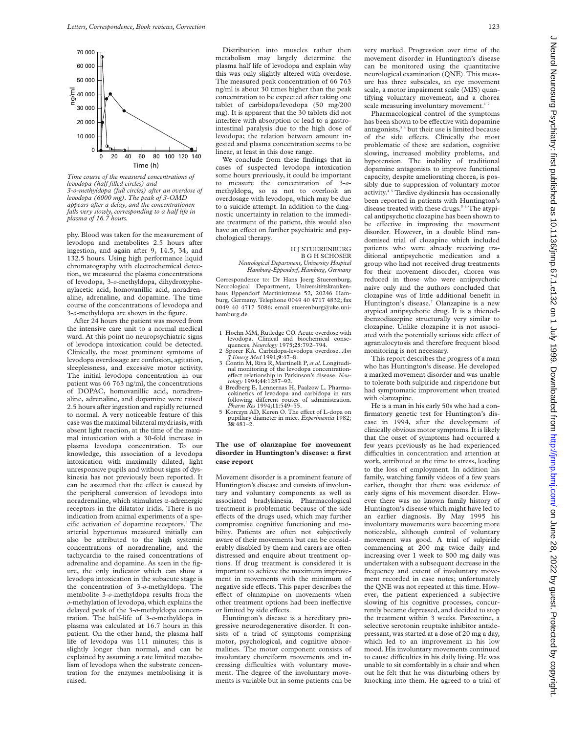

*Time course of the measured concentrations of levodopa (half filled circles) and 3-o-methyldopa (full circles) after an overdose of levodopa (6000 mg). The peak of 3-OMD appears after a delay, and the concentrationen falls very slowly, corresponding to a half life in plasma of 16.7 hours.*

phy. Blood was taken for the measurement of levodopa and metabolites 2.5 hours after ingestion, and again after 9, 14.5, 34, and 132.5 hours. Using high performance liquid chromatography with electrochemical detection, we measured the plasma concentrations of levodopa, 3-*o*-methyldopa, dihydroxyphenylacetic acid, homovanillic acid, noradrenaline, adrenaline, and dopamine. The time course of the concentrations of levodopa and 3-*o*-methyldopa are shown in the figure.

After 24 hours the patient was moved from the intensive care unit to a normal medical ward. At this point no neuropsychiatric signs of levodopa intoxication could be detected. Clinically, the most prominent symtoms of levodopa overdosage are confusion, agitation, sleeplessness, and excessive motor activity. The initial levodopa concentration in our patient was 66 763 ng/ml, the concentrations of DOPAC, homovanillic acid, noradrenaline, adrenaline, and dopamine were raised 2.5 hours after ingestion and rapidly returned to normal. A very noticeable feature of this case was the maximal bilateral mydriasis, with absent light reaction, at the time of the maximal intoxication with a 30-fold increase in plasma levodopa concentration. To our knowledge, this association of a levodopa intoxication with maximally dilated, light unresponsive pupils and without signs of dyskinesia has not previously been reported. It can be assumed that the effect is caused by the peripheral conversion of levodopa into noradrenaline, which stimulates  $\alpha$ -adrenergic receptors in the dilatator iridis. There is no indication from animal experiments of a specific activation of dopamine receptors.<sup>5</sup> The arterial hypertonus measured initially can also be attributed to the high systemic concentrations of noradrenaline, and the tachycardia to the raised concentrations of adrenaline and dopamine. As seen in the figure, the only indicator which can show a levodopa intoxication in the subacute stage is the concentration of 3-*o*-methyldopa. The metabolite 3-*o*-methyldopa results from the *o*-methylation of levodopa, which explains the delayed peak of the 3-*o*-methyldopa concentration. The half-life of 3-*o*-methyldopa in plasma was calculated at 16.7 hours in this patient. On the other hand, the plasma half life of levodopa was 111 minutes; this is slightly longer than normal, and can be explained by assuming a rate limited metabolism of levodopa when the substrate concentration for the enzymes metabolising it is raised.

Distribution into muscles rather then metabolism may largely determine the plasma half life of levodopa and explain why this was only slightly altered with overdose. The measured peak concentration of 66 763 ng/ml is about 30 times higher than the peak concentration to be expected after taking one tablet of carbidopa/levodopa (50 mg/200 mg). It is apparent that the 30 tablets did not interfere with absorption or lead to a gastrointestinal paralysis due to the high dose of levodopa; the relation between amount ingested and plasma concentration seems to be linear, at least in this dose range.

We conclude from these findings that in cases of suspected levodopa intoxication some hours previously, it could be important to measure the concentration of 3-*o*methyldopa, so as not to overlook an overdosage with levodopa, which may be due to a suicide attempt. In addition to the diagnostic uncertainty in relation to the immediate treatment of the patient, this would also have an effect on further psychiatric and psychological therapy.

#### H J STUERENBURG B G H SCHOSER *Neurological Department, University Hospital Hamburg-Eppendorf, Hamburg, Germany*

Correspondence to: Dr Hans Joerg Stuerenburg, Neurological Department, Universitètskrankenhaus Eppendorf Martinistrasse 52, 20246 Hamburg, Germany. Telephone 0049 40 4717 4832; fax 0049 40 4717 5086; email stuerenburg@uke.unihamburg.de

- 1 Hoehn MM, Rutledge CO. Acute overdose with levodopa. Clinical and biochemical conse-quences. *Neurology* 1975;**25**:792–794.
- 2 Sporer KA. Carbidopa-levodopa overdose. *Am J Emerg Med* 1991;**9**:47–8.
- 3 Contin M, Riva R, Martinelli P, *et al*. Longitudinal monitoring of the levodopa concentrationeffect relationship in Parkinson's disease. *Neu-*<br>*rology* 1994;44:1287–92.
- 4 Bredberg E, Lennernas H, Paalzow L. Pharma-cokinetics of levodopa and carbidopa in rats following different routes of administration. *Pharm Res* 1994;**11**:549–55.
- 5 Korczyn AD, Keren O. The effect of L-dopa on pupillary diameter in mice. *Experimentia* 1982; **38**:481–2.

### **The use of olanzapine for movement disorder in Huntington's disease: a first case report**

Movement disorder is a prominent feature of Huntington's disease and consists of involuntary and voluntary components as well as associated bradykinesia. Pharmacological treatment is problematic because of the side effects of the drugs used, which may further compromise cognitive functioning and mobility. Patients are often not subjectively aware of their movements but can be considerably disabled by them and carers are often distressed and enquire about treatment options. If drug treatment is considered it is important to achieve the maximum improvement in movements with the minimum of negative side effects. This paper describes the effect of olanzapine on movements when other treatment options had been ineffective or limited by side effects.

Huntington's disease is a hereditary progressive neurodegenerative disorder. It consists of a triad of symptoms comprising motor, psychological, and cognitive abnormalities. The motor component consists of involuntary choreiform movements and increasing difficulties with voluntary movement. The degree of the involuntary movements is variable but in some patients can be

very marked. Progression over time of the movement disorder in Huntington's disease can be monitored using the quantitative neurological examination (QNE). This measure has three subscales, an eye movement scale, a motor impairment scale (MIS) quantifying voluntary movement, and a chorea scale measuring involuntary movement.<sup>12</sup>

Pharmacological control of the symptoms has been shown to be effective with dopamine antagonists,<sup>34</sup> but their use is limited because of the side effects. Clinically the most problematic of these are sedation, cognitive slowing, increased mobility problems, and hypotension. The inability of traditional dopamine antagonists to improve functional capacity, despite ameliorating chorea, is possibly due to suppression of voluntary motor activity.<sup>45</sup> Tardive dyskinesia has occasionally been reported in patients with Huntington's disease treated with these drugs.<sup>5 6</sup> The atypical antipsychotic clozapine has been shown to be effective in improving the movement disorder. However, in a double blind randomised trial of clozapine which included patients who were already receiving traditional antipsychotic medication and a group who had not received drug treatments for their movement disorder, chorea was reduced in those who were antipsychotic naive only and the authors concluded that clozapine was of little additional benefit in Huntington's disease.<sup>7</sup> Olanzapine is a new atypical antipsychotic drug. It is a thienodibenzodiazepine structurally very similar to clozapine. Unlike clozapine it is not associated with the potentially serious side effect of agranulocytosis and therefore frequent blood monitoring is not necessary.

This report describes the progress of a man who has Huntington's disease. He developed a marked movement disorder and was unable to tolerate both sulpiride and risperidone but had symptomatic improvement when treated with olanzapine.

He is a man in his early 50s who had a confirmatory genetic test for Huntington's disease in 1994, after the development of clinically obvious motor symptoms. It is likely that the onset of symptoms had occurred a few years previously as he had experienced difficulties in concentration and attention at work, attributed at the time to stress, leading to the loss of employment. In addition his family, watching family videos of a few years earlier, thought that there was evidence of early signs of his movement disorder. However there was no known family history of Huntington's disease which might have led to an earlier diagnosis. By May 1995 his involuntary movements were becoming more noticeable, although control of voluntary movement was good. A trial of sulpiride commencing at 200 mg twice daily and increasing over 1 week to 800 mg daily was undertaken with a subsequent decrease in the frequency and extent of involuntary movement recorded in case notes; unfortunately the QNE was not repeated at this time. However, the patient experienced a subjective slowing of his cognitive processes, concurrently became depressed, and decided to stop the treatment within 3 weeks. Paroxetine, a selective serotonin reuptake inhibitor antidepressant, was started at a dose of 20 mg a day, which led to an improvement in his low mood. His involuntary movements continued to cause difficulties in his daily living. He was unable to sit comfortably in a chair and when out he felt that he was disturbing others by knocking into them. He agreed to a trial of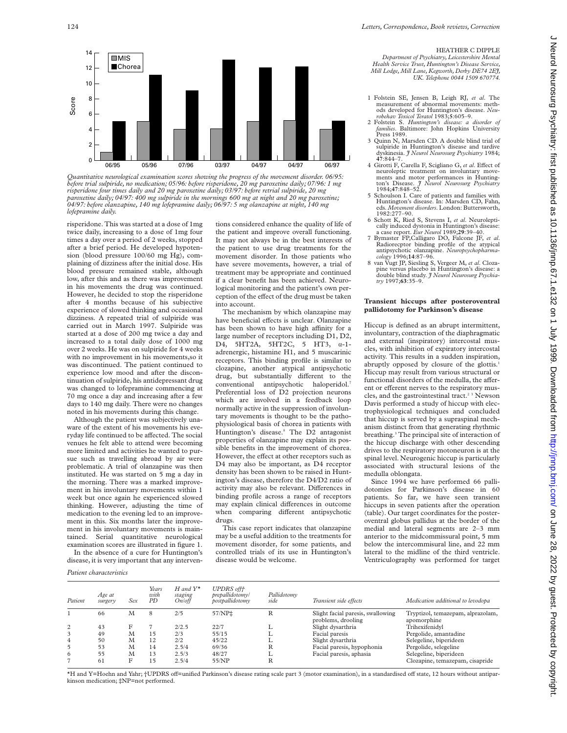

*Quantitative neurological examination scores showing the progress of the movement disorder. 06/95: before trial sulpiride, no medication; 05/96: before risperidone, 20 mg paroxetine daily; 07/96: 1 mg risperidone four times daily and 20 mg paroxetine daily; 03/97: before retrial sulpiride, 20 mg paroxetine daily; 04/97: 400 mg sulpiride in the mornings 600 mg at night and 20 mg paroxetine; 04/97: before olanzapine, 140 mg lofepramine daily; 06/97: 5 mg olanzapine at night, 140 mg lofepramine daily.* 05/96 07/96 03/97 04/97 04/97 06/97

risperidone. This was started at a dose of 1mg twice daily, increasing to a dose of 1mg four times a day over a period of 2 weeks, stopped after a brief period. He developed hypotension (blood pressure 100/60 mg Hg), complaining of dizziness after the initial dose. His blood pressure remained stable, although low, after this and as there was improvement in his movements the drug was continued. However, he decided to stop the risperidone after 4 months because of his subjective experience of slowed thinking and occasional dizziness. A repeated trial of sulpiride was carried out in March 1997. Sulpiride was started at a dose of 200 mg twice a day and increased to a total daily dose of 1000 mg over 2 weeks. He was on sulpiride for 4 weeks with no improvement in his movements,so it was discontinued. The patient continued to experience low mood and after the discontinuation of sulpiride, his antidepressant drug was changed to lofepramine commencing at 70 mg once a day and increasing after a few days to 140 mg daily. There were no changes noted in his movements during this change.

Although the patient was subjectively unaware of the extent of his movements his everyday life continued to be affected. The social venues he felt able to attend were becoming more limited and activities he wanted to pursue such as travelling abroad by air were problematic. A trial of olanzapine was then instituted. He was started on 5 mg a day in the morning. There was a marked improvement in his involuntary movements within 1 week but once again he experienced slowed thinking. However, adjusting the time of medication to the evening led to an improvement in this. Six months later the improvement in his involuntary movements is maintained. Serial quantitative neurological examination scores are illustrated in figure 1. In the absence of a cure for Huntington's

disease, it is very important that any interven-

tions considered enhance the quality of life of the patient and improve overall functioning. It may not always be in the best interests of the patient to use drug treatments for the movement disorder. In those patients who have severe movements, however, a trial of treatment may be appropriate and continued if a clear benefit has been achieved. Neurological monitoring and the patient's own perception of the effect of the drug must be taken into account.

The mechanism by which olanzapine may have beneficial effects is unclear. Olanzapine has been shown to have high affinity for a large number of receptors including D1, D2, D4, 5HT2A, 5HT2C, 5 HT3, α-1adrenergic, histamine H1, and 5 muscarinic receptors. This binding profile is similar to clozapine, another atypical antipsychotic drug, but substantially different to the conventional antipsychotic haloperidol.<sup>7</sup> Preferential loss of D2 projection neurons which are involved in a feedback loop normally active in the suppression of involuntary movements is thought to be the pathophysiological basis of chorea in patients with Huntington's disease.<sup>8</sup> The D2 antagonist properties of olanzapine may explain its possible benefits in the improvement of chorea. However, the effect at other receptors such as D4 may also be important, as D4 receptor density has been shown to be raised in Huntington's disease, therefore the D4/D2 ratio of activity may also be relevant. Differences in binding profile across a range of receptors may explain clinical differences in outcome when comparing different antipsychotic drugs.

This case report indicates that olanzapine may be a useful addition to the treatments for movement disorder, for some patients, and controlled trials of its use in Huntington's disease would be welcome.

HEATHER C DIPPLE

*Department of Psychiatry, Leicestershire Mental Health Service Trust, Huntington's Disease Service, Mill Lodge, Mill Lane, Kegworth, Derby DE74 2EJ, UK. Telephone 0044 1509 670774.*

- 1 Folstein SE, Jensen B, Leigh RJ, *et al*. The measurement of abnormal movements: methods developed for Huntington's disease. *Neu-robehav Toxicol Teratol* 1983;**5**:605–9.
- 2 Folstein S. *Huntington's disease: a disorder of families*. Baltimore: John Hopkins University Press 1989.
- 3 Quinn N, Marsden CD. A double blind trial of sulpiride in Huntington's disease and tardive dyskinesia. *J Neurol Neurosurg Psychiatry* 1984; **47**:844–7.
- 4 Girotti F, Carella F, Scigliano G, et al. Effect of neuroleptic treatment on involuntary move-ments and motor performances in Hunting-ton's Disease. *J Neurol Neurosurg Psychiatry* 1984;**47**:848–52.
- 5 Schoulson I. Care of patients and families with Huntington's disease. In: Marsden CD, Fahn, eds*.Movement disorders*. London: Buttersworth, 1982:277–90.
- 6 Schott K, Ried S, Stevens I, *et al*. Neuroleptically induced dystonia in Huntington's disease: a case report. *Eur Neurol* 1989;**29**:39–40.
- 7 Bymaster FP,Calligaro DO, Falcone JF, *et al*. Radiorecptor binding profile of the atypical antipsychotic olanzapine. *Neuropsychopharma-cology* 1996;**14**:87–96.
- 8 van Vugt JP, Siesling S, Vergeer M, *et al*. Cloza-pine versus placebo in Huntington's disease: a double blind study. *J Neurol Neurosurg Psychiatry* 1997;**63**:35–9.

### **Transient hiccups after posteroventral pallidotomy for Parkinson's disease**

Hiccup is defined as an abrupt intermittent, involuntary, contraction of the diaphragmatic and external (inspiratory) intercostal muscles, with inhibition of expiratory intercostal activity. This results in a sudden inspiration, abruptly opposed by closure of the glottis.<sup>1</sup> Hiccup may result from various structural or functional disorders of the medulla, the afferent or efferent nerves to the respiratory muscles, and the gastrointestinal tract.<sup>23</sup> Newson Davis performed a study of hiccup with electrophysiological techniques and concluded that hiccup is served by a supraspinal mechanism distinct from that generating rhythmic breathing.<sup>3</sup> The principal site of interaction of the hiccup discharge with other descending drives to the respiratory motoneuron is at the spinal level. Neurogenic hiccup is particularly associated with structural lesions of the medulla oblongata.

Since 1994 we have performed 66 pallidotomies for Parkinson's disease in 60 patients. So far, we have seen transient hiccups in seven patients after the operation (table). Our target coordinates for the posteroventral globus pallidus at the border of the medial and lateral segments are 2–3 mm anterior to the midcommissural point, 5 mm below the intercommisural line, and 22 mm lateral to the midline of the third ventricle. Ventriculography was performed for target

#### *Patient characteristics*

| Patient | Age at<br>surgery | Sex | Years<br>with<br>PD | $H$ and $Y^*$<br>staging<br>On/off | <b>UPDRS</b> offt<br>prepallidotomy/<br>postpallidotomy | Pallidotomy<br>side | Transient side effects                                  | Medication additional to levodopa                |
|---------|-------------------|-----|---------------------|------------------------------------|---------------------------------------------------------|---------------------|---------------------------------------------------------|--------------------------------------------------|
|         | 66                | M   | 8                   | 2/5                                | 57/NP±                                                  | R                   | Slight facial paresis, swallowing<br>problems, drooling | Tryptizol, temazepam, alprazolam,<br>apomorphine |
| 2       | 43                |     |                     | 2/2.5                              | 22/7                                                    |                     | Slight dysarthria                                       | Trihexifenidyl                                   |
|         | 49                | M   | 15                  | 2/3                                | 55/15                                                   | ∸                   | Facial paresis                                          | Pergolide, amantadine                            |
| 4       | 50                | М   | 12                  | 2/2                                | 45/22                                                   |                     | Slight dysarthria                                       | Selegeline, biperideen                           |
|         | 53                | M   | 14                  | 2.5/4                              | 69/36                                                   | R                   | Facial paresis, hypophonia                              | Pergolide, selegeline                            |
| 6       | 55                | M   | 13                  | 2.5/3                              | 48/27                                                   |                     | Facial paresis, aphasia                                 | Selegeline, biperideen                           |
|         | 61                | F   | 15                  | 2.5/4                              | 55/NP                                                   | R                   |                                                         | Clozapine, temazepam, cisapride                  |

\*H and Y=Hoehn and Yahr; †UPDRS off=unified Parkinson's disease rating scale part 3 (motor examination), in a standardised off state, 12 hours without antiparkinson medication; ‡NP=not performed.

2  $\Omega$ 

06/95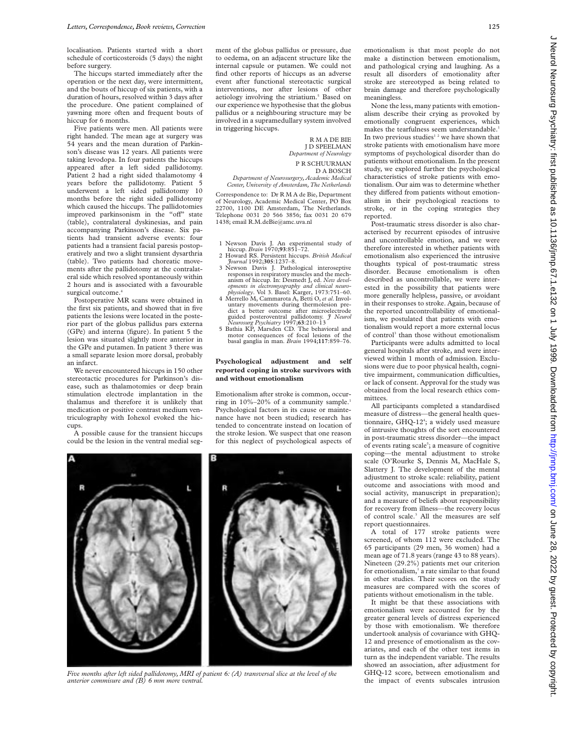localisation. Patients started with a short schedule of corticosteroids (5 days) the night before surgery.

The hiccups started immediately after the operation or the next day, were intermittent, and the bouts of hiccup of six patients, with a duration of hours, resolved within 3 days after the procedure. One patient complained of yawning more often and frequent bouts of hiccup for 6 months.

Five patients were men. All patients were right handed. The mean age at surgery was 54 years and the mean duration of Parkinson's disease was 12 years. All patients were taking levodopa. In four patients the hiccups appeared after a left sided pallidotomy. Patient 2 had a right sided thalamotomy 4 years before the pallidotomy. Patient 5 underwent a left sided pallidotomy 10 months before the right sided pallidotomy which caused the hiccups. The pallidotomies improved parkinsonism in the "off" state (table), contralateral dyskinesias, and pain accompanying Parkinson's disease. Six patients had transient adverse events: four patients had a transient facial paresis postoperatively and two a slight transient dysarthria (table). Two patients had choreatic movements after the pallidotomy at the contralateral side which resolved spontaneously within 2 hours and is associated with a favourable surgical outcome.<sup>4</sup>

Postoperative MR scans were obtained in the first six patients, and showed that in five patients the lesions were located in the posterior part of the globus pallidus pars externa (GPe) and interna (figure). In patient 5 the lesion was situated slightly more anterior in the GPe and putamen. In patient 3 there was a small separate lesion more dorsal, probably an infarct.

We never encountered hiccups in 150 other stereotactic procedures for Parkinson's disease, such as thalamotomies or deep brain stimulation electrode implantation in the thalamus and therefore it is unlikely that medication or positive contrast medium ventriculography with Iohexol evoked the hiccups.

A possible cause for the transient hiccups could be the lesion in the ventral medial segment of the globus pallidus or pressure, due to oedema, on an adjacent structure like the internal capsule or putamen. We could not find other reports of hiccups as an adverse event after functional stereotactic surgical interventions, nor after lesions of other aetiology involving the striatium.<sup>5</sup> Based on our experience we hypothesise that the globus pallidus or a neighbouring structure may be involved in a supramedullary system involved in triggering hiccups.

> R M A DE BIE J D SPEELMAN *Department of Neurology* P R SCHUURMAN D A BOSCH

*Department of Neurosurgery, Academic Medical Center, University of Amsterdam, The Netherlands*

Correspondence to: Dr R M A de Bie, Department of Neurology, Academic Medical Center, PO Box 22700, 1100 DE Amsterdam, The Netherlands. Telephone 0031 20 566 3856; fax 0031 20 679 1438; email R.M.deBie@amc.uva.nl

- 
- 1 Newson Davis J. An experimental study of hiccup. *Brain* 1970;**93**:851–72. 2 Howard RS. Persistent hiccups. *British Medical Journal* 1992;**305**:1237–8.
- 3 Newson Davis J. Pathological interoseptive responses in respiratory muscles and the mechanism of hiccup. In: Desmedt J, ed. *New devel-opments in electromyography and clinical neurophysiology*. Vol 3. Basel: Karger, 1973:751–60.
- 4 Merrello M, Cammarota A, Betti O, *et al*. Involuntary movements during thermolesion predict a better outcome after microelectrode guided posteroventral pallidotomy. *J Neurol Neurosurg Psychiatry* 1997;**63**:210–13
- 5 Bathia KP, Marsden CD. The behavioral and motor consequences of focal lesions of the basal ganglia in man. *Brain* 1994;**117**:859–76.

### **Psychological adjustment and self reported coping in stroke survivors with and without emotionalism**

Emotionalism after stroke is common, occurring in 10%-20% of a community sample.<sup>1</sup> Psychological factors in its cause or maintenance have not been studied; research has tended to concentrate instead on location of the stroke lesion. We suspect that one reason for this neglect of psychological aspects of



*Five months after left sided pallidotomy, MRI of patient 6: (A) transversal slice at the level of the anterior commisure and (B) 6 mm more ventral.*

emotionalism is that most people do not make a distinction between emotionalism, and pathological crying and laughing. As a result all disorders of emotionality after stroke are stereotyped as being related to brain damage and therefore psychologically meaningless.

None the less, many patients with emotionalism describe their crying as provoked by emotionally congruent experiences, which makes the tearfulness seem understandable.<sup>1</sup> In two previous studies<sup>12</sup> we have shown that stroke patients with emotionalism have more symptoms of psychological disorder than do patients without emotionalism. In the present study, we explored further the psychological characteristics of stroke patients with emotionalism. Our aim was to determine whether they differed from patients without emotionalism in their psychological reactions to stroke, or in the coping strategies they reported.

Post-traumatic stress disorder is also characterised by recurrent episodes of intrusive and uncontrollable emotion, and we were therefore interested in whether patients with emotionalism also experienced the intrusive thoughts typical of post-traumatic stress disorder. Because emotionalism is often described as uncontrollable, we were interested in the possibility that patients were more generally helpless, passive, or avoidant in their responses to stroke. Again, because of the reported uncontrollability of emotionalism, we postulated that patients with emotionalism would report a more external locus of control<sup>3</sup> than those without emotionalism

Participants were adults admitted to local general hospitals after stroke, and were interviewed within 1 month of admission. Exclusions were due to poor physical health, cognitive impairment, communication difficulties, or lack of consent. Approval for the study was obtained from the local research ethics committees.

All participants completed a standardised measure of distress—the general health questionnaire, GHQ-12<sup>4</sup>; a widely used measure of intrusive thoughts of the sort encountered in post-traumatic stress disorder—the impact of events rating scale<sup>5</sup>; a measure of cognitive coping—the mental adjustment to stroke scale (O'Rourke S, Dennis M, MacHale S, Slattery J. The development of the mental adjustment to stroke scale: reliability, patient outcome and associations with mood and social activity, manuscript in preparation); and a measure of beliefs about responsibility for recovery from illness—the recovery locus of control scale.<sup>3</sup> All the measures are self report questionnaires.

A total of 177 stroke patients were screened, of whom 112 were excluded. The 65 participants (29 men, 36 women) had a mean age of 71.8 years (range 43 to 88 years). Nineteen (29.2%) patients met our criterion for emotionalism,<sup>1</sup> a rate similar to that found in other studies. Their scores on the study measures are compared with the scores of patients without emotionalism in the table.

It might be that these associations with emotionalism were accounted for by the greater general levels of distress experienced by those with emotionalism. We therefore undertook analysis of covariance with GHQ-12 and presence of emotionalism as the covariates, and each of the other test items in turn as the independent variable. The results showed an association, after adjustment for GHQ-12 score, between emotionalism and the impact of events subscales intrusion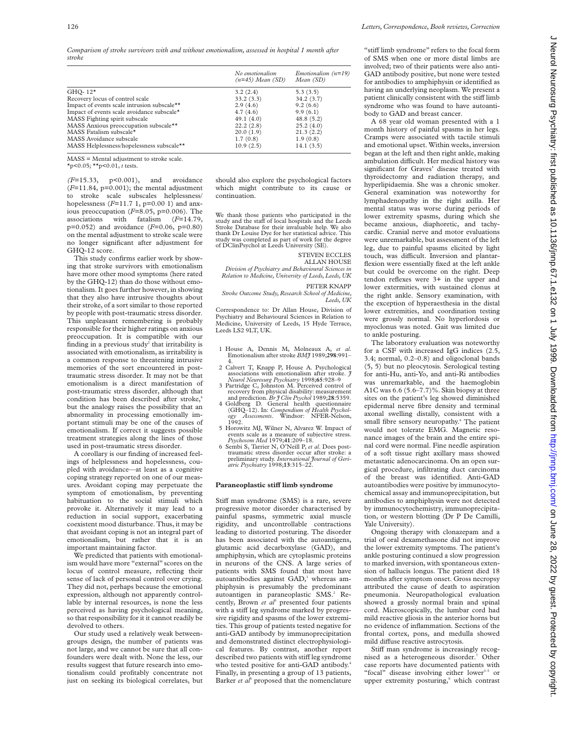|                                             | No emotionalism<br>$(n=45)$ Mean (SD) | Emotionalism $(n=19)$<br>Mean (SD) |
|---------------------------------------------|---------------------------------------|------------------------------------|
| GHQ-12 $*$                                  | 3.2(2.4)                              | 5.3(3.5)                           |
| Recovery locus of control scale             | 33.2(3.3)                             | 34.2(3.7)                          |
| Impact of events scale intrusion subscale** | 2.9(4.6)                              | 9.2(6.6)                           |
| Impact of events scale avoidance subscale*  | 4.7(4.6)                              | 9.9(6.1)                           |
| MASS Fighting spirit subscale               | 49.1(4.0)                             | 48.8(5.2)                          |
| MASS Anxious preoccupation subscale**       | 22.2(2.8)                             | 25.2(4.0)                          |
| MASS Fatalism subscale*                     | 20.0(1.9)                             | 21.3(2.2)                          |
| MASS Avoidance subscale                     | 1.7(0.8)                              | 1.9(0.8)                           |
| MASS Helplessness/hopelessness subscale**   | 10.9(2.5)                             | 14.1(3.5)                          |

MASS = Mental adjustment to stroke scale. \*p<0.05; \*\*p<0.01, *t* tests.

*(F*=15.33, p<0.001), and avoidance  $(F=11.84, p=0.001)$ ; the mental adjustment to stroke scale subscales helplessness/ hopelessness (*F*=11.7 1, p=0.00 1) and anxious preoccupation (*F*=8.05, p=0.006). The associations with fatalism (*F*=14.79, p=0.052) and avoidance (*F*=0.06, p=0.80) on the mental adjustment to stroke scale were no longer significant after adjustment for GHQ-12 score.

This study confirms earlier work by showing that stroke survivors with emotionalism have more other mood symptoms (here rated by the GHQ-12) than do those without emotionalism. It goes further however, in showing that they also have intrusive thoughts about their stroke, of a sort similar to those reported by people with post-traumatic stress disorder. This unpleasant remembering is probably responsible for their higher ratings on anxious preoccupation. It is compatible with our finding in a previous  $study<sup>2</sup>$  that irritability is associated with emotionalism, as irritability is a common response to threatening intrusive memories of the sort encountered in posttraumatic stress disorder. It may not be that emotionalism is a direct manifestation of post-traumatic stress disorder, although that condition has been described after stroke,<sup>6</sup> but the analogy raises the possibility that an abnormality in processing emotionally important stimuli may be one of the causes of emotionalism. If correct it suggests possible treatment strategies along the lines of those used in post-traumatic stress disorder.

A corollary is our finding of increased feelings of helplessness and hopelessness, coupled with avoidance—at least as a cognitive coping strategy reported on one of our measures. Avoidant coping may perpetuate the symptom of emotionalism, by preventing habituation to the social stimuli which provoke it. Alternatively it may lead to a reduction in social support, exacerbating coexistent mood disturbance. Thus, it may be that avoidant coping is not an integral part of emotionalism, but rather that it is an important maintaining factor.

We predicted that patients with emotionalism would have more "external" scores on the locus of control measure, reflecting their sense of lack of personal control over crying. They did not, perhaps because the emotional expression, although not apparently controllable by internal resources, is none the less perceived as having psychological meaning, so that responsibility for it it cannot readily be devolved to others.

Our study used a relatively weak betweengroups design, the number of patients was not large, and we cannot be sure that all confounders were dealt with. None the less, our results suggest that future research into emotionalism could profitably concentrate not just on seeking its biological correlates, but

should also explore the psychological factors which might contribute to its cause or continuation.

We thank those patients who participated in the study and the staff of local hospitals and the Leeds<br>Stroke Database for their invaluable help. We also thank Dr Louise Dye for her statistical advice. This study was completed as part of work for the degree of DClinPsychol at Leeds University (SE).

> STEVEN ECCLES ALLAN HOUSE

*Division of Psychiatry and Behavioural Sciences in Relation to Medicine, University of Leeds, Leeds, UK*

PETER KNAPP *Stroke Outcome Study, Research School of Medicine,*

*Leeds, UK*

Correspondence to: Dr Allan House, Division of Psychiatry and Behavioural Sciences in Relation to Medicine, University of Leeds, 15 Hyde Terrace, Leeds LS2 9LT, UK.

- 1 House A, Dennis M, Molneaux A, *et al*. Emotionalism after stroke *BMJ* 1989;**298**:991–
- 4. 2 Calvert T, Knapp P, House A. Psychological associations with emotionalism after stroke. *J*
- *Neurol Neurosurg Psychiatry* 1998;**65**:928–9 3 Partridge C, Johnston M. Perceived control of recovery from physical disability: measurement
- and prediction. *Br J Clin Psychol* 1989;**28**:5359. 4 Goldberg D. General health questionnaire (GHQ-12). In: Compendium of Health Psychol-(GHQ–12). In: *Compendium of Health Psychol-ogy Assessments*. Windsor: NFER-Nelson, 1992.
- 5 Horowitz MJ, Wilner N, Alvarez W. Impact of events scale as a measure of subjective stress. *Psychosom Med* 1979;**41**:209–18.
- 6 Sembi S, Tarrier N, O'Neill P, *et al*. Does post-traumatic stress disorder occur after stroke: a preliminary study. *International Journal of Geri-atric Psychiatry* 1998;**13**:315–22.

#### **Paraneoplastic stiff limb syndrome**

Stiff man syndrome (SMS) is a rare, severe progressive motor disorder characterised by painful spasms, symmetric axial muscle rigidity, and uncontrollable contractions leading to distorted posturing. The disorder has been associated with the autoantigens, glutamic acid decarboxylase (GAD), and amphiphysin, which are cytoplasmic proteins in neurons of the CNS. A large series of patients with SMS found that most have autoantibodies against GAD,<sup>1</sup> whereas amphiphysin is presumably the predominant autoantigen in paraneoplastic SMS.<sup>2</sup> Recently, Brown *et al<sup>3</sup>* presented four patients with a stiff leg syndrome marked by progressive rigidity and spasms of the lower extremities. This group of patients tested negative for anti-GAD antibody by immunoprecipitation and demonstrated distinct electrophysiological features. By contrast, another report described two patients with stiff leg syndrome who tested positive for anti-GAD antibody.<sup>4</sup> Finally, in presenting a group of 13 patients, Barker *et al*<sup>5</sup> proposed that the nomenclature

"stiff limb syndrome" refers to the focal form of SMS when one or more distal limbs are involved; two of their patients were also anti-GAD antibody positive, but none were tested for antibodies to amphiphysin or identified as having an underlying neoplasm. We present a patient clinically consistent with the stiff limb syndrome who was found to have autoantibody to GAD and breast cancer.

A 68 year old woman presented with a 1 month history of painful spasms in her legs. Cramps were associated with tactile stimuli and emotional upset. Within weeks, inversion began at the left and then right ankle, making ambulation difficult. Her medical history was significant for Graves' disease treated with thyroidectomy and radiation therapy, and hyperlipidaemia. She was a chronic smoker. General examination was noteworthy for lymphadenopathy in the right axilla. Her mental status was worse during periods of lower extremity spasms, during which she became anxious, diaphoretic, and tachycardic. Cranial nerve and motor evaluations were unremarkable, but assessment of the left leg, due to painful spasms elicited by light touch, was difficult. Inversion and plantarflexion were essentially fixed at the left ankle but could be overcome on the right. Deep tendon reflexes were 3+ in the upper and lower extermities, with sustained clonus at the right ankle. Sensory examination, with the exception of hyperaesthesia in the distal lower extremities, and coordination testing were grossly normal. No hyperlordosis or myoclonus was noted. Gait was limited due to ankle posturing.

The laboratory evaluation was noteworthy for a CSF with increased IgG indices (2.5, 3.4; normal, 0.2–0.8) and oligoclonal bands (5, 5) but no pleocytosis. Serological testing for anti-Hu, anti-Yo, and anti-Ri antibodies was unremarkable, and the haemoglobin A1C was 6.6 (5.6–7.7)%. Skin biopsy at three sites on the patient's leg showed diminished epidermal nerve fibre density and terminal axonal swelling distally, consistent with a small fibre sensory neuropathy.<sup>6</sup> The patient would not tolerate EMG. Magnetic resonance images of the brain and the entire spinal cord were normal. Fine needle aspiration of a soft tissue right axillary mass showed metastatic adenocarcinoma. On an open surgical procedure, infiltrating duct carcinoma of the breast was identified. Anti-GAD autoantibodies were positive by immunocytochemical assay and immunoprecipitation, but antibodies to amphiphysin were not detected by immunocytochemistry, immunoprecipitation, or western blotting (Dr P De Camilli, Yale University).

Ongoing therapy with clonazepam and a trial of oral dexamethasone did not improve the lower extremity symptoms. The patient's ankle posturing continued a slow progression to marked inversion, with spontaneous extension of hallucis longus. The patient died 18 months after symptom onset. Gross necropsy attributed the cause of death to aspiration pneumonia. Neuropathological evaluation showed a grossly normal brain and spinal cord. Microscopically, the lumbar cord had mild reactive gliosis in the anterior horns but no evidence of inflammation. Sections of the frontal cortex, pons, and medulla showed mild diffuse reactive astrocytosis.

Stiff man syndrome is increasingly recognised as a heterogeneous disorder.<sup>7</sup> Other case reports have documented patients with "focal" disease involving either lower<sup>3-5</sup> or upper extremity posturing,<sup>8</sup> which contrast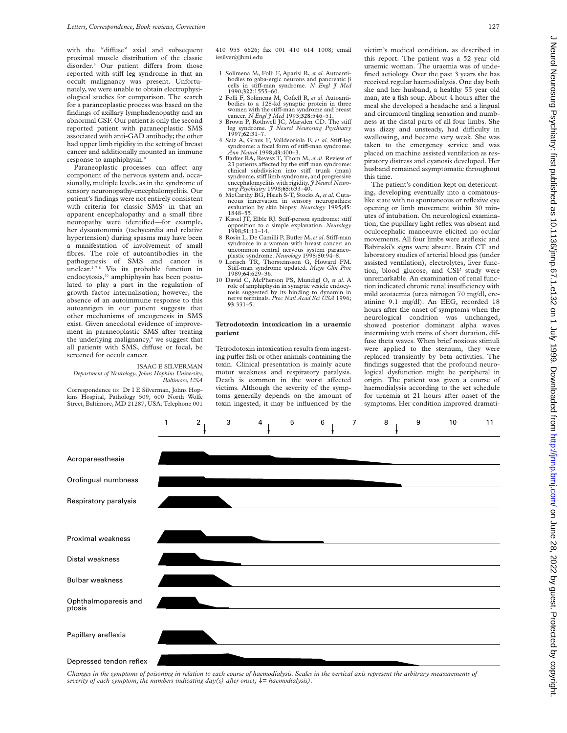with the "diffuse" axial and subsequent proximal muscle distribution of the classic disorder.<sup>9</sup> Our patient differs from those reported with stiff leg syndrome in that an occult malignancy was present. Unfortunately, we were unable to obtain electrophysiological studies for comparison. The search for a paraneoplastic process was based on the findings of axillary lymphadenopathy and an abnormal CSF. Our patient is only the second reported patient with paraneoplastic SMS associated with anti-GAD antibody; the other had upper limb rigidity in the setting of breast cancer and additionally mounted an immune response to amphiphysin.<sup>8</sup>

Paraneoplastic processes can affect any component of the nervous system and, occasionally, multiple levels, as in the syndrome of sensory neuronopathy-encephalomyelitis. Our patient's findings were not entirely consistent with criteria for classic SMS<sup>9</sup> in that an apparent encephalopathy and a small fibre neuropathy were identified—for example, her dysautonomia (tachycardia and relative hypertension) during spasms may have been a manifestation of involvement of small fibres. The role of autoantibodies in the pathogenesis of SMS and cancer is unclear.278 Via its probable function in endocytosis,<sup>10</sup> amphiphysin has been postulated to play a part in the regulation of growth factor internalisation; however, the absence of an autoimmune response to this autoantigen in our patient suggests that other mechanisms of oncogenesis in SMS exist. Given anecdotal evidence of improvement in paraneoplastic SMS after treating the underlying malignancy,<sup>8</sup> we suggest that all patients with SMS, diffuse or focal, be screened for occult cancer.

# ISAAC E SILVERMAN

*Department of Neurology, Johns Hopkins University, Baltimore, USA*

Correspondence to: Dr I E Silverman, Johns Hopkins Hospital, Pathology 509, 600 North Wolfe Street, Baltimore, MD 21287, USA. Telephone 001 410 955 6626; fax 001 410 614 1008; email iesilver@jhmi.edu

- 1 Solimena M, Folli F, Aparisi R, *et al*. Autoantibodies to gaba-ergic neurons and pancreatic β<br>cells in stiff-man syndrome. *N Engl J Med*
- 1990;**322**:1555–60. 2 Folli F, Solimena M, Cofiell R, *et al*. Autoantibodies to a 128-kd synaptic protein in three<br>women with the stiff-man syndrome and breast
- cancer. *N Engl J Med* 1993;328:546-51.<br>3 Brown P, Rothwell JC, Marsden CD. The stiff<br>leg syndrome. *J Neurol Neurosurg Psychiatry* 1997;**62**:31–7.
- 4 Saiz A, Graus F, Valldeoriola F, et al. Stiff-leg syndrome: a focal form of stiff-man syndrome. *Ann Neurol* 1998;**43**:400–3.
- 5 Barker RA, Revesz T, Thom M, *et al*. Review of 23 patients affected by the stiff man syndrome: clinical subdivision into stiff trunk (man) syndrome, stiff limb syndrome, and progressive encephalomyelitis with rigidity. *J Neurol Neuro-*
- *surg Psychiatry* 1998;**65**:633–40. 6 McCarthy BG, Hsieh S-T, Stocks A, *et al*. Cutaneous innervation in sensory neuropathies: evaluation by skin biopsy. *Neurology* 1995;**45**: 1848–55.
- 7 Kissel JT, Elble RJ. Stiff-person syndrome: stiff opposition to a simple explanation. *Neurology* 1998;**51**:11–14.
- 8 Rosin L, De Camilli P, Butler M,*et al*. Stiff-man syndrome in a woman with breast cancer: an uncommon central nervous system paraneo-plastic syndrome. *Neurology* 1998;**50**:94–8. 9 Lorisch TR, Thorsteinsson G, Howard FM.
- Stiff-man syndrome updated. *Mayo Clin Proc* 1989;64:629-36.
- 1989;**64**:629–36. 10 David C, McPherson PS, Mundigl O, *et al*. A role of amphiphysin in synaptic vesicle endocytosis suggested by its binding to dynamin in nerve terminals. *Proc Natl Acad Sci USA* 1996; **93**:331–5.

#### **Tetrodotoxin intoxication in a uraemic patient**

Tetrodotoxin intoxication results from ingesting puffer fish or other animals containing the toxin. Clinical presentation is mainly acute motor weakness and respiratory paralysis. Death is common in the worst affected victims. Although the severity of the symptoms generally depends on the amount of toxin ingested, it may be influenced by the

victim's medical condition, as described in this report. The patient was a 52 year old uraemic woman. The uraemia was of undefined aetiology. Over the past 3 years she has received regular haemodialysis. One day both she and her husband, a healthy 55 year old man, ate a fish soup. About 4 hours after the meal she developed a headache and a lingual and circumoral tingling sensation and numbness at the distal parts of all four limbs. She was dizzy and unsteady, had difficulty in swallowing, and became very weak. She was taken to the emergency service and was placed on machine assisted ventilation as respiratory distress and cyanosis developed. Her husband remained asymptomatic throughout this time.

The patient's condition kept on deteriorating, developing eventually into a comatouslike state with no spontaneous or reflexive eye opening or limb movement within 30 minutes of intubation. On neurological examination, the pupillary light reflex was absent and oculocephalic manoeuvre elicited no ocular movements. All four limbs were areflexic and Babinski's signs were absent. Brain CT and laboratory studies of arterial blood gas (under assisted ventilation), electrolytes, liver function, blood glucose, and CSF study were unremarkable. An examination of renal function indicated chronic renal insufficiency with mild azotaemia (urea nitrogen 70 mg/dl, creatinine 9.1 mg/dl). An EEG, recorded 18 hours after the onset of symptoms when the neurological condition was unchanged, showed posterior dominant alpha waves intermixing with trains of short duration, diffuse theta waves. When brief noxious stimuli were applied to the sternum, they were replaced transiently by beta activities. The findings suggested that the profound neurological dysfunction might be peripheral in origin. The patient was given a course of haemodialysis according to the set schedule for uraemia at 21 hours after onset of the symptoms. Her condition improved dramati-



*Changes in the symptoms of poisoning in relation to each course of haemodialysis. Scales in the vertical axis represent the arbitrary measurements of severity of each symptom; the numbers indicating day(s) after onset;* ↓*= haemodialysis).*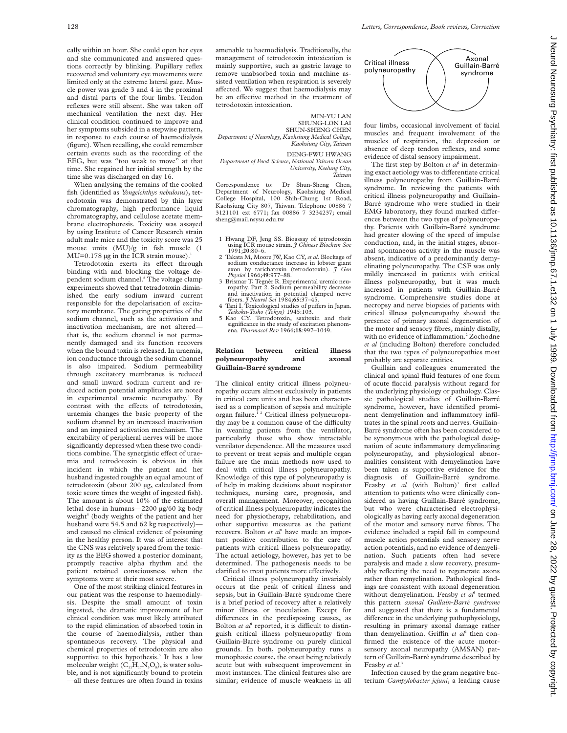amenable to haemodialysis. Traditionally, the management of tetrodotoxin intoxication is mainly supportive, such as gastric lavage to remove unabsorbed toxin and machine assisted ventilation when respiration is severely affected. We suggest that haemodialysis may be an effective method in the treatment of tetrodotoxin intoxication.

MIN-YU LAN SHUNG-LON LAI SHUN-SHENG CHEN *Department of Neurology, Kaohsiung Medical College, Kaohsiung City, Taiwan*

DENG-FWU HWANG

*Department of Food Science, National Taiwan Ocean University, Keelung City, Taiwan*

Correspondence to: Dr Shun-Sheng Chen, Department of Neurology, Kaohsiung Medical College Hospital, 100 Shih-Chung 1st Road, Kaohsiung City 807, Taiwan. Telephone 00886 7 3121101 ext 6771; fax 00886 7 3234237; email sheng@mail.nsysu.edu.tw

- 1 Hwang DF, Jeng SS. Bioassay of tetrodotoxin using ICR mouse strain. *J Chinese Biochem Soc* 1991;**20**:80–6.
- 2 Takata M, Moore JW, Kao CY, *et al*. Blockage of sodium conductance increase in lobster giant axon by tarichatoxin (tetrodotoxin). *J Gen Physiol* 1966;**49**:977–88.
- 3 Brismar T, Tegnèr R. Experimental uremic neu-ropathy. Part 2. Sodium permeability decrease and inactivation in potential clamped nerve fibers. *J Neurol Sci* 1984;**65**:37–45.
- 4 Tani I. Toxicological studies of puffers in Japan. *Teikoku-Tosho (Tokyo)* 1945:103. 5 Kao CY. Tetrodotoxin, saxitoxin and their
- significance in the study of excitation phenom-ena. *Pharmacol Rev* 1966;**18**:997–1049.

## **Relation between critical illness polyneuropathy and axonal Guillain-Barré syndrome**

The clinical entity critical illness polyneuropathy occurs almost exclusively in patients in critical care units and has been characterised as a complication of sepsis and multiple organ failure.<sup>12</sup> Critical illness polyneuropathy may be a common cause of the difficulty in weaning patients from the ventilator, particularly those who show intractable ventilator dependence. All the measures used to prevent or treat sepsis and multiple organ failure are the main methods now used to deal with critical illness polyneuropathy. Knowledge of this type of polyneuropathy is of help in making decisions about respirator techniques, nursing care, prognosis, and overall management. Moreover, recognition of critical illness polyneuropathy indicates the need for physiotherapy, rehabilitation, and other supportive measures as the patient recovers. Bolton *et al*<sup>1</sup> have made an important positive contribution to the care of patients with critical illness polyneuropathy. The actual aetiology, however, has yet to be determined. The pathogenesis needs to be clarified to treat patients more effectively.

Critical illness polyneuropathy invariably occurs at the peak of critical illness and sepsis, but in Guillain-Barré syndrome there is a brief period of recovery after a relatively minor illness or inoculation. Except for differences in the predisposing causes, as Bolton *et al*<sup>1</sup> reported, it is difficult to distinguish critical illness polyneuropathy from Guillain-Barré syndrome on purely clinical grounds. In both, polyneuropathy runs a monophasic course, the onset being relatively acute but with subsequent improvement in most instances. The clinical features also are similar; evidence of muscle weakness in all



four limbs, occasional involvement of facial muscles and frequent involvement of the muscles of respiration, the depression or absence of deep tendon reflexes, and some evidence of distal sensory impairment.

The first step by Bolton *et al*<sup>1</sup> in determining exact aetiology was to differentiate critical illness polyneuropathy from Guillain-Barré syndrome. In reviewing the patients with critical illness polyneuropathy and Guillain-Barré syndrome who were studied in their EMG laboratory, they found marked differences between the two types of polyneuropathy. Patients with Guillain-Barré syndrome had greater slowing of the speed of impulse conduction, and, in the initial stages, abnormal spontaneous activity in the muscle was absent, indicative of a predominantly demyelinating polyneuropathy. The CSF was only mildly increased in patients with critical illness polyneuropathy, but it was much increased in patients with Guillain-Barré syndrome. Comprehensive studies done at necropsy and nerve biopsies of patients with critical illness polyneuropathy showed the presence of primary axonal degeneration of the motor and sensory fibres, mainly distally, with no evidence of inflammation.<sup>2</sup> Zochodne *et al* (including Bolton) therefore concluded that the two types of polyneuropathies most probably are separate entities.

Guillain and colleagues enumerated the clinical and spinal fluid features of one form of acute flaccid paralysis without regard for the underlying physiology or pathology. Classic pathological studies of Guillain-Barré syndrome, however, have identified prominent demyelination and inflammatory infiltrates in the spinal roots and nerves. Guillain-Barré syndrome often has been considered to be synonymous with the pathological designation of acute inflammatory demyelinating polyneuropathy, and physiological abnormalities consistent with demyelination have been taken as supportive evidence for the diagnosis of Guillain-Barré syndrome. Feasby et al (with Bolton)<sup>3</sup> first called attention to patients who were clinically considered as having Guillain-Barré syndrome, but who were characterised electrophysiologically as having early axonal degeneration of the motor and sensory nerve fibres. The evidence included a rapid fall in compound muscle action potentials and sensory nerve action potentials, and no evidence of demyelination. Such patients often had severe paralysis and made a slow recovery, presumably reflecting the need to regenerate axons rather than remyelination. Pathological findings are consistent with axonal degeneration without demyelination. Feasby et al<sup>3</sup> termed this pattern *axonal Guillain-Barré syndrome* and suggested that there is a fundamental difference in the underlying pathophysiology, resulting in primary axonal damage rather than demyelination. Griffin et al<sup>4</sup> then confirmed the existence of the acute motorsensory axonal neuropathy (AMSAN) pattern of Guillain-Barré syndrome described by Feasby *et al*. 3

Infection caused by the gram negative bacterium *Campylobacter jejuni*, a leading cause

cally within an hour. She could open her eyes and she communicated and answered questions correctly by blinking. Pupillary reflex recovered and voluntary eye movements were limited only at the extreme lateral gaze. Muscle power was grade 3 and 4 in the proximal and distal parts of the four limbs. Tendon reflexes were still absent. She was taken off mechanical ventilation the next day. Her clinical condition continued to improve and her symptoms subsided in a stepwise pattern, in response to each course of haemodialysis (figure). When recalling, she could remember certain events such as the recording of the EEG, but was "too weak to move" at that time. She regained her initial strength by the time she was discharged on day 16.

When analysing the remains of the cooked fish (identified as *Yongeichthys nebulosus*), tetrodotoxin was demonstrated by thin layer chromatography, high performance liquid chromatography, and cellulose acetate membrane electrophoresis. Toxicity was assayed by using Institute of Cancer Research strain adult male mice and the toxicity score was 25 mouse units (MU)/g in fish muscle (1  $MU=0.178$  µg in the ICR strain mouse).<sup>1</sup>

Tetrodotoxin exerts its effect through binding with and blocking the voltage dependent sodium channel.<sup>2</sup> The voltage clamp experiments showed that tetradotoxin diminished the early sodium inward current responsible for the depolarisation of excitatory membrane. The gating properties of the sodium channel, such as the activation and inactivation mechanism, are not altered that is, the sodium channel is not permanently damaged and its function recovers when the bound toxin is released. In uraemia, ion conductance through the sodium channel is also impaired. Sodium permeability through excitatory membranes is reduced and small inward sodium current and reduced action potential amplitudes are noted in experimental uraemic neuropathy.<sup>3</sup> By contrast with the effects of tetrodotoxin, uraemia changes the basic property of the sodium channel by an increased inactivation and an impaired activation mechanism. The excitability of peripheral nerves will be more significantly depressed when these two conditions combine. The synergistic effect of uraemia and tetrodotoxin is obvious in this incident in which the patient and her husband ingested roughly an equal amount of tetrodotoxin (about 200 µg, calculated from toxic score times the weight of ingested fish). The amount is about 10% of the estimated lethal dose in humans—2200 µg/60 kg body weight $<sup>4</sup>$  (body weights of the patient and her</sup> husband were 54.5 and 62 kg respectively) and caused no clinical evidence of poisoning in the healthy person. It was of interest that the CNS was relatively spared from the toxicity as the EEG showed a posterior dominant, promptly reactive alpha rhythm and the patient retained consciousness when the symptoms were at their most severe.

One of the most striking clinical features in our patient was the response to haemodialysis. Despite the small amount of toxin ingested, the dramatic improvement of her clinical condition was most likely attributed to the rapid elimination of absorbed toxin in the course of haemodialysis, rather than spontaneous recovery. The physical and chemical properties of tetrodotoxin are also supportive to this hypothesis.<sup>5</sup> It has a low molecular weight  $(C_{11}H_{17}N_3O_8)$ , is water soluble, and is not significantly bound to protein —all these features are often found in toxins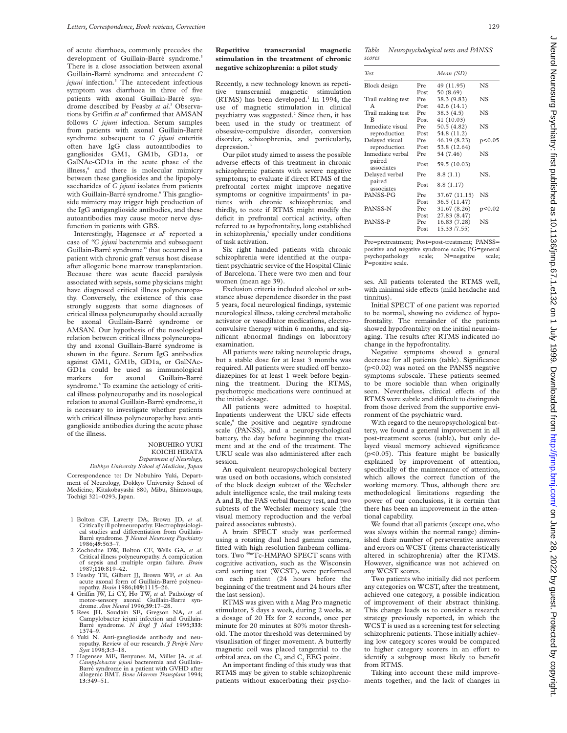of acute diarrhoea, commonly precedes the development of Guillain-Barré syndrome. There is a close association between axonal Guillain-Barré syndrome and antecedent *C jejuni* infection.5 The antecedent infectious symptom was diarrhoea in three of five patients with axonal Guillain-Barré syndrome described by Feasby *et al*. <sup>3</sup> Observations by Griffin et al<sup>4</sup> confirmed that AMSAN follows *C jejuni* infection. Serum samples from patients with axonal Guillain-Barré syndrome subsequent to *C jejuni* enteritis often have IgG class autoantibodies to gangliosides GM1, GM1b, GD1a, or GalNAc-GD1a in the acute phase of the illness,<sup>6</sup> and there is molecular mimicry between these gangliosides and the lipopolysaccharides of *C jejuni* isolates from patients with Guillain-Barré syndrome.<sup>6</sup> This ganglioside mimicry may trigger high production of the IgG antiganglioside antibodies, and these autoantibodies may cause motor nerve dysfunction in patients with GBS.

Interestingly, Hagensee *et al*<sup>7</sup> reported a case of *"C jejuni* bacteremia and subsequent Guillain-Barré syndrome*"* that occurred in a patient with chronic graft versus host disease after allogenic bone marrow transplantation. Because there was acute flaccid paralysis associated with sepsis, some physicians might have diagnosed critical illness polyneuropathy. Conversely, the existence of this case strongly suggests that some diagnoses of critical illness polyneuropathy should actually be axonal Guillain-Barré syndrome or AMSAN. Our hypothesis of the nosological relation between critical illness polyneuropathy and axonal Guillain-Barré syndrome is shown in the figure. Serum IgG antibodies against GM1, GM1b, GD1a, or GalNAc-GD1a could be used as immunological markers for axonal Guillain-Barré syndrome.<sup>6</sup> To examine the aetiology of critical illness polyneuropathy and its nosological relation to axonal Guillain-Barré syndrome, it is necessary to investigate whether patients with critical illness polyneuropathy have antiganglioside antibodies during the acute phase of the illness.

> NOBUHIRO YUKI KOICHI HIRATA *Department of Neurology, Dokkyo University School of Medicine, Japan*

Correspondence to: Dr Nobuhiro Yuki, Department of Neurology, Dokkyo University School of Medicine, Kitakobayashi 880, Mibu, Shimotsuga, Tochigi 321–0293, Japan.

- 1 Bolton CF, Laverty DA, Brown JD, *et al*. Critically ill polyneuropathy. Electrophysiological studies and differentiation from Guillain-Barré syndrome. *J Neurol Neurosurg Psychiatry* 1986;**49**:563–7.
- 2 Zochodne DW, Bolton CF, Wells GA, *et al*. Critical illness polyneuropathy. A complic of sepsis and multiple organ failure. *Brain* 1987;**110**:819–42.
- 3 Feasby TE, Gilbert JJ, Brown WF, *et al*. An acute axonal form of Guillain-Barré polyneuropathy. *Brain* 1986;**109**:1115–26.
- 4 Griffin JW, Li CY, Ho TW, et al. Pathology of motor-sensory axonal Guillain-Barré syn-drome. *Ann Neurol* 1996;**39**:17–28.
- 5 Rees JH, Soudain SE, Gregson NA, *et al*. Campylobacter jejuni infection and Guillain-Barré syndrome. *N Engl J Med* 1995;**333**: 1374–9.
- 6 Yuki N. Anti-ganglioside antibody and neuropathy. Review of our research. *J Periph Nerv Syst* 1998;**3**:3–18.
- 7 Hagensee ME, Benyunes M, Miller JA, *et al*. *Campylobacter jejuni* bacteremia and Guillain-Barré syndrome in a patient with GVHD after allogenic BMT. *Bone Marrow Transplant* 1994; **13**:349–51.

### **Repetitive transcranial magnetic stimulation in the treatment of chronic negative schizophrenia: a pilot study**

Recently, a new technology known as repetitive transcranial magnetic stimulation (RTMS) has been developed. $1$  In 1994, the use of magnetic stimulation in clinical psychiatry was suggested.<sup>2</sup> Since then, it has been used in the study or treatment of obsessive-compulsive disorder, conversion disorder, schizophrenia, and particularly, depression.<sup>3</sup>

Our pilot study aimed to assess the possible adverse effects of this treatment in chronic schizophrenic patients with severe negative symptoms; to evaluate if direct RTMS of the prefrontal cortex might improve negative symptoms or cognitive impairments<sup>4</sup> in patients with chronic schizophrenia; and thirdly, to note if RTMS might modify the deficit in prefrontal cortical activity, often referred to as hypofrontality, long established in schizophrenia,<sup>5</sup> specially under conditions of task activation.

Six right handed patients with chronic schizophrenia were identified at the outpatient psychiatric service of the Hospital Clínic of Barcelona. There were two men and four women (mean age 39).

Exclusion criteria included alcohol or substance abuse dependence disorder in the past 5 years, focal neurological findings, systemic neurological illness, taking cerebral metabolic activator or vasodilator medications, electroconvulsive therapy within 6 months, and significant abnormal findings on laboratory examination.

All patients were taking neuroleptic drugs, but a stable dose for at least 3 months was required. All patients were studied off benzodiazepines for at least 1 week before beginning the treatment. During the RTMS, psychotropic medications were continued at the initial dosage.

All patients were admitted to hospital. Inpatients underwent the UKU side effects scale,<sup>6</sup> the positive and negative syndrome scale (PANSS), and a neuropsychological battery, the day before beginning the treatment and at the end of the treatment. The UKU scale was also administered after each session.

An equivalent neuropsychological battery was used on both occasions, which consisted of the block design subtest of the Wechsler adult intelligence scale, the trail making tests A and B, the FAS verbal fluency test, and two subtests of the Wechsler memory scale (the visual memory reproduction and the verbal paired associates subtests).

A brain SPECT study was performed using a rotating dual head gamma camera, fitted with high resolution fanbeam collimators. Two  $99m\text{T}c$ -HMPAO SPECT scans with cognitive activation, such as the Wisconsin card sorting test (WCST), were performed on each patient (24 hours before the beginning of the treatment and 24 hours after the last session).

RTMS was given with a Mag Pro magnetic stimulator, 5 days a week, during 2 weeks, at a dosage of 20 Hz for 2 seconds, once per minute for 20 minutes at 80% motor threshold. The motor threshold was determined by visualisation of finger movement. A butterfly magnetic coil was placed tangential to the orbital area, on the  $C_3$  and  $C_4$  EEG point.

An important finding of this study was that RTMS may be given to stable schizophrenic patients without exacerbating their psycho*Table Neuropsychological tests and PANSS scores*

| Test.                |      | Mean (SD)     |           |
|----------------------|------|---------------|-----------|
| Block design         | Pre  | 49 (11.95)    | NS        |
|                      | Post | 50 (8.69)     |           |
| Trail making test    | Pre  | 38.3 (9.83)   | NS.       |
| $\mathsf{A}$         | Post | 42.6(14.1)    |           |
| Trail making test    | Pre  | 38.3(4.5)     | NS        |
| B                    | Post | 41 (10.03)    |           |
| Inmediate visual     | Pre  | 50.5 (4.82)   | NS        |
| reproduction         | Post | 54.8 (11.2)   |           |
| Delayed visual       | Pre  | 46.19 (8.23)  | p<0.05    |
| reproduction         | Post | 53.8 (12.64)  |           |
| Inmediate verbal     | Pre  | 54 (7.46)     | NS.       |
| paired<br>associates | Post | 59.5 (10.03)  |           |
| Delayed verbal       | Pre  | 8.8(1.1)      | NS.       |
| paired<br>associates | Post | 8.8(1.17)     |           |
| PANSS-PG             | Pre  | 37.67 (11.15) | <b>NS</b> |
|                      | Post | 36.5 (11.47)  |           |
| PANSS-N              | Pre  | 31.67 (8.26)  | p<0.02    |
|                      | Post | 27.83 (8.47)  |           |
| PANSS-P              | Pre  | 16.83 (7.28)  | <b>NS</b> |
|                      | Post | 15.33 / 7.55  |           |

Pre=pretreatment; Post=post-treatment; PANSS= positive and negative syndrome scale; PG=general psychopathology scale; N=negative scale; P=positive scale.

ses. All patients tolerated the RTMS well, with minimal side effects (mild headache and tinnitus).

Initial SPECT of one patient was reported to be normal, showing no evidence of hypofrontality. The remainder of the patients showed hypofrontality on the initial neuroimaging. The results after RTMS indicated no change in the hypofrontality.

Negative symptoms showed a general decrease for all patients (table). Significance (p<0.02) was noted on the PANSS negative symptoms subscale. These patients seemed to be more sociable than when originally seen. Nevertheless, clinical effects of the RTMS were subtle and difficult to distinguish from those derived from the supportive environment of the psychiatric ward.

With regard to the neuropsychological battery, we found a general improvement in all post-treatment scores (table), but only delayed visual memory achieved significance (p<0.05). This feature might be basically explained by improvement of attention, specifically of the maintenance of attention, which allows the correct function of the working memory. Thus, although there are methodological limitations regarding the power of our conclusions, it is certain that there has been an improvement in the attentional capability.

We found that all patients (except one, who was always within the normal range) diminished their number of perseverative answers and errors on WCST (items characteristically altered in schizophrenia) after the RTMS. However, significance was not achieved on any WCST scores.

Two patients who initially did not perform any categories on WCST, after the treatment, achieved one category, a possible indication of improvement of their abstract thinking. This change leads us to consider a research strategy previously reported, in which the WCST is used as a screening test for selecting schizophrenic patients. Those initially achieving low category scores would be compared to higher category scorers in an effort to identify a subgroup most likely to benefit from RTMS.

Taking into account these mild improvements together, and the lack of changes in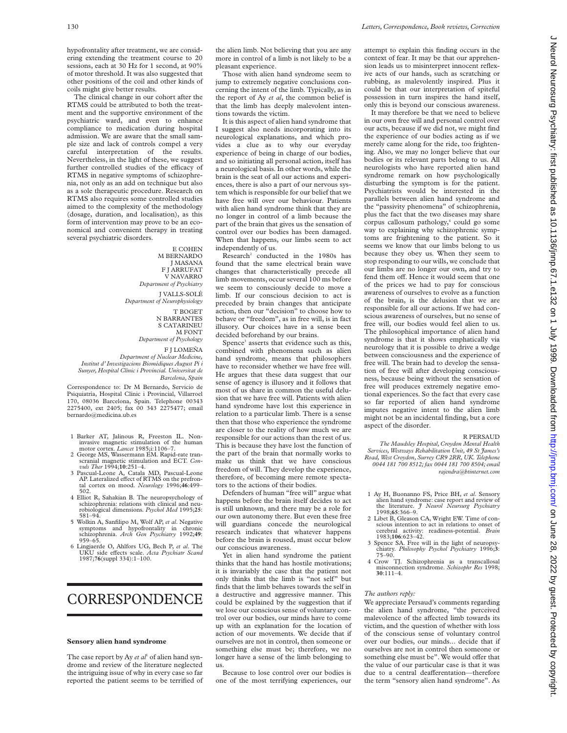hypofrontality after treatment, we are considering extending the treatment course to 20 sessions, each at 30 Hz for 1 second, at 90% of motor threshold. It was also suggested that other positions of the coil and other kinds of coils might give better results.

The clinical change in our cohort after the RTMS could be attributed to both the treatment and the supportive environment of the psychiatric ward, and even to enhance compliance to medication during hospital admission. We are aware that the small sample size and lack of controls compel a very careful interpretation of the results. Nevertheless, in the light of these, we suggest further controlled studies of the efficacy of RTMS in negative symptoms of schizophrenia, not only as an add on technique but also as a sole therapeutic procedure. Research on RTMS also requires some controlled studies aimed to the complexity of the methodology (dosage, duration, and localisation), as this form of intervention may prove to be an economical and convenient therapy in treating several psychiatric disorders.

E COHEN M BERNARDO J MASANA F J ARRUFAT V NAVARRO *Department of Psychiatry* J VALLS-SOLÉ *Department of Neurophysiology* T BOGET N BARRANTES S CATARINEU M FONT *Department of Psychology* F J LOMEÑA *Department of Nuclear Medicine, Institut d' Investigacions Biomédiques August Pi i Sunyer, Hospital Clínic i Provincial. Universitat de Barcelona, Spain*

Correspondence to: Dr M Bernardo, Servicio de Psiquiatría, Hospital Clínic i Provincial, Villarroel 170, 08036 Barcelona, Spain. Telephone 00343 2275400, ext 2405; fax 00 343 2275477; email bernardo@medicina.ub.es

- 1 Barker AT, Jalinous R, Freeston IL. Noninvasive magnetic stimulation of the human motor cortex. *Lancet* 1985;i:1106–7.
- 2 George MS, Wassermann EM. Rapid-rate transcranial magnetic stimulation and ECT. *Con-vuls Ther* 1994;**10**:251–4.
- 3 Pascual-Leone A, Catala MD, Pascual-Leone<br>AP. Lateralized effect of RTMS on the prefrontal cortex on mood. *Neurology* 1996;**46**:499– 502.
- 4 Elliot R, Sahakian B. The neuropsychology of schizophrenia: relations with clinical and neu-robiological dimensions*. Psychol Med* 1995;**25**: 581–94.
- 5 Wolkin A, Sanfilipo M, Wolf AP, *et al*. Negative symptoms and hypofrontality in chronic schizophrenia. *Arch Gen Psychiatry* 1992;**49**: 959–65.
- 6 Lingjaerde O, Ahlfors UG, Bech P, *et al*. The UKU side effects scale. **Acta Psychiatr Scand** 1987;**76**(suppl 334):1–100.

# **CORRESPONDENCE**

#### **Sensory alien hand syndrome**

The case report by Ay et al<sup>1</sup> of alien hand syndrome and review of the literature neglected the intriguing issue of why in every case so far reported the patient seems to be terrified of the alien limb. Not believing that you are any more in control of a limb is not likely to be a pleasant experience.

Those with alien hand syndrome seem to jump to extremely negative conclusions concerning the intent of the limb. Typically, as in the report of Ay *et al*, the common belief is that the limb has deeply malevolent intentions towards the victim.

It is this aspect of alien hand syndrome that I suggest also needs incorporating into its neurological explanations, and which provides a clue as to why our everyday experience of being in charge of our bodies, and so initiating all personal action, itself has a neurological basis. In other words, while the brain is the seat of all our actions and experiences, there is also a part of our nervous system which is responsible for our belief that we have free will over our behaviour. Patients with alien hand syndrome think that they are no longer in control of a limb because the part of the brain that gives us the sensation of control over our bodies has been damaged. When that happens, our limbs seem to act independently of us.

Research<sup>2</sup> conducted in the 1980s has found that the same electrical brain wave changes that characteristically precede all limb movements, occur several 100 ms before we seem to consciously decide to move a limb. If our conscious decision to act is preceded by brain changes that anticipate action, then our "decision" to choose how to behave or "freedom", as in free will, is in fact illusory. Our choices have in a sense been decided beforehand by our brains.

Spence<sup>3</sup> asserts that evidence such as this, combined with phenomena such as alien hand syndrome, means that philosophers have to reconsider whether we have free will. He argues that these data suggest that our sense of agency is illusory and it follows that most of us share in common the useful delusion that we have free will. Patients with alien hand syndrome have lost this experience in relation to a particular limb. There is a sense then that those who experience the syndrome are closer to the reality of how much we are responsible for our actions than the rest of us. This is because they have lost the function of the part of the brain that normally works to make us think that we have conscious freedom of will. They develop the experience, therefore, of becoming mere remote spectators to the actions of their bodies.

Defenders of human "free will" argue what happens before the brain itself decides to act is still unknown, and there may be a role for our own autonomy there. But even these free will guardians concede the neurological research indicates that whatever happens before the brain is roused, must occur below our conscious awareness.

Yet in alien hand syndrome the patient thinks that the hand has hostile motivations; it is invariably the case that the patient not only thinks that the limb is "not self" but finds that the limb behaves towards the self in a destructive and aggressive manner. This could be explained by the suggestion that if we lose our conscious sense of voluntary control over our bodies, our minds have to come up with an explanation for the location of action of our movements. We decide that if ourselves are not in control, then someone or something else must be; therefore, we no longer have a sense of the limb belonging to us.

Because to lose control over our bodies is one of the most terrifying experiences, our

attempt to explain this finding occurs in the context of fear. It may be that our apprehension leads us to misinterpret innocent reflexive acts of our hands, such as scratching or rubbing, as malevolently inspired. Plus it could be that our interpretation of spiteful possession in turn inspires the hand itself, only this is beyond our conscious awareness.

It may therefore be that we need to believe in our own free will and personal control over our acts, because if we did not, we might find the experience of our bodies acting as if we merely came along for the ride, too frightening. Also, we may no longer believe that our bodies or its relevant parts belong to us. All neurologists who have reported alien hand syndrome remark on how psychologically disturbing the symptom is for the patient. Psychiatrists would be interested in the parallels between alien hand syndrome and the "passivity phenomena" of schizophrenia, plus the fact that the two diseases may share corpus callosum pathology,<sup>4</sup> could go some way to explaining why schizophrenic symptoms are frightening to the patient. So it seems we know that our limbs belong to us because they obey us. When they seem to stop responding to our wills, we conclude that our limbs are no longer our own, and try to fend them off. Hence it would seem that one of the prices we had to pay for conscious awareness of ourselves to evolve as a function of the brain, is the delusion that we are responsible for all our actions. If we had conscious awareness of ourselves, but no sense of free will, our bodies would feel alien to us. The philosophical importance of alien hand syndrome is that it shows emphatically via neurology that it is possible to drive a wedge between consciousness and the experience of free will. The brain had to develop the sensation of free will after developing consciousness, because being without the sensation of free will produces extremely negative emotional experiences. So the fact that every case so far reported of alien hand syndrome imputes negative intent to the alien limb might not be an incidental finding, but a core aspect of the disorder.

R PERSAUD

*The Maudsley Hospital, Croydon Mental Health Services, Westways Rehabilitation Unit, 49 St James's Road, West Croydon, Surrey CR9 2RR, UK. Telephone 0044 181 700 8512; fax 0044 181 700 8504; email rajendra@btinternet.com*

- 1 Ay H, Buonanno FS, Price BH, *et al*. Sensory alien hand syndrome: case report and review of the literature. *J Neurol Neursurg Psychiatry* 1998;**65**:366–9.
- 2 Libet B, Gleason CA, Wright EW. Time of conscious intention to act in relations to onset of cerebral activity: readiness-potential. *Brain* 1983;**106**:623–42.
- 3 Spence SA. Free will in the light of neuropsychiatry. *Philosophy Psychol Psychiatry* 1996;**3**: 75–90.
- 4 Crow TJ. Schizophrenia as a transcallosal misconnection syndrome. *Schizophr Res* 1998; **30**:111–4.

#### *The authors reply:*

We appreciate Persaud's comments regarding the alien hand syndrome, "the perceived malevolence of the affected limb towards its victim, and the question of whether with loss of the conscious sense of voluntary control over our bodies, our minds... decide that if ourselves are not in control then someone or something else must be". We would offer that the value of our particular case is that it was due to a central deafferentation—therefore the term "sensory alien hand syndrome". As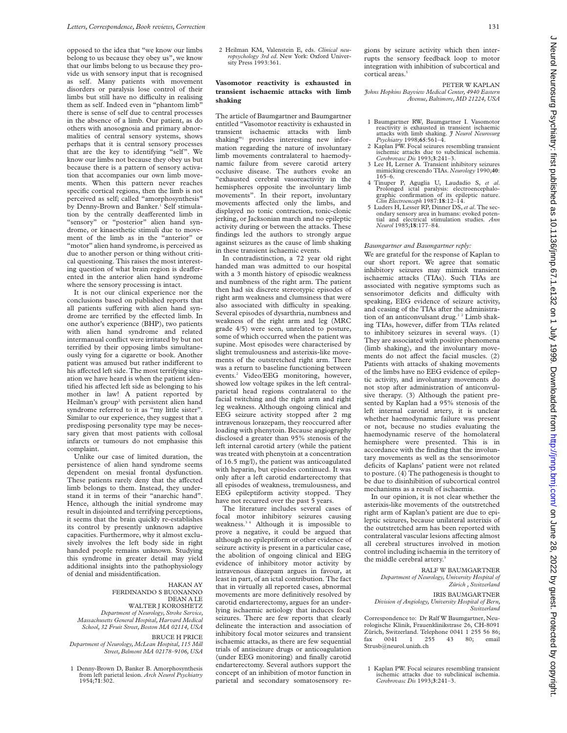opposed to the idea that "we know our limbs belong to us because they obey us", we know that our limbs belong to us because they provide us with sensory input that is recognised as self. Many patients with movement disorders or paralysis lose control of their limbs but still have no difficulty in realising them as self. Indeed even in "phantom limb" there is sense of self due to central processes in the absence of a limb. Our patient, as do others with anosognosia and primary abnormalities of central sensory systems, shows perhaps that it is central sensory processes that are the key to identifying "self". We know our limbs not because they obey us but because there is a pattern of sensory activation that accompanies our own limb movements. When this pattern never reaches specific cortical regions, then the limb is not perceived as self; called "amorphosynthesis" by Denny-Brown and Banker.<sup>1</sup> Self stimulation by the centrally deafferented limb in "sensory" or "posterior" alien hand syndrome, or kinaesthetic stimuli due to movement of the limb as in the "anterior" or "motor" alien hand syndrome, is perceived as due to another person or thing without critical questioning. This raises the most interesting question of what brain region is deafferented in the anterior alien hand syndrome where the sensory processing is intact.

It is not our clinical experience nor the conclusions based on published reports that all patients suffering with alien hand syndrome are terrified by the effected limb. In one author's experience (BHP), two patients with alien hand syndrome and related intermanual conflict were irritated by but not terrified by their opposing limbs simultaneously vying for a cigarette or book. Another patient was amused but rather indifferent to his affected left side. The most terrifying situation we have heard is when the patient identified his affected left side as belonging to his mother in law! A patient reported by Heilman's group<sup>2</sup> with persistent alien hand syndrome referred to it as "my little sister". Similar to our experience, they suggest that a predisposing personality type may be necessary given that most patients with collosal infarcts or tumours do not emphasise this complaint.

Unlike our case of limited duration, the persistence of alien hand syndrome seems dependent on mesial frontal dysfunction. These patients rarely deny that the affected limb belongs to them. Instead, they understand it in terms of their "anarchic hand". Hence, although the initial syndrome may result in disjointed and terrifying perceptions, it seems that the brain quickly re-establishes its control by presently unknown adaptive capacities. Furthermore, why it almost exclusively involves the left body side in right handed people remains unknown. Studying this syndrome in greater detail may yield additional insights into the pathophysiology of denial and misidentification.

#### HAKAN AY FERDINANDO S BUONANNO DEAN A LE WALTER J KOROSHETZ *Department of Neurology, Stroke Service, Massachusetts General Hospital, Harvard Medical School, 32 Fruit Street, Boston MA 02114, USA*

BRUCE H PRICE *Department of Neurology, McLean Hospital, 115 Mill Street, Belmont MA 02178–9106, USA*

1 Denny-Brown D, Banker B. Amorphosynthesis from left parietal lesion. *Arch Neurol Psychiatry* 1954;**71**:302.

2 Heilman KM, Valenstein E, eds. *Clinical neuropsychology 3rd ed*. New York: Oxford University Press 1993:361.

#### **Vasomotor reactivity is exhausted in transient ischaemic attacks with limb shaking**

The article of Baumgartner and Baumgartner entitled "Vasomotor reactivity is exhausted in transient ischaemic attacks with limb shaking"<sup>1</sup> provides interesting new information regarding the nature of involuntary limb movements contralateral to haemodynamic failure from severe carotid artery occlusive disease. The authors evoke an "exhausted cerebral vasoreactivity in the hemispheres opposite the involuntary limb movements". In their report, involuntary movements affected only the limbs, and displayed no tonic contraction, tonic-clonic jerking, or Jacksonian march and no epileptic activity during or between the attacks. These findings led the authors to strongly argue against seizures as the cause of limb shaking in these transient ischaemic events.

In contradistinction, a 72 year old right handed man was admitted to our hospital with a 3 month history of episodic weakness and numbness of the right arm. The patient then had six discrete stereotypic episodes of right arm weakness and clumsiness that were also associated with difficulty in speaking. Several episodes of dysarthria, numbness and weakness of the right arm and leg (MRC grade 4/5) were seen, unrelated to posture, some of which occurred when the patient was supine. Most episodes were characterised by slight tremulousness and asterixis-like movements of the outstretched right arm. There was a return to baseline functioning between events.2 Video/EEG monitoring, however, showed low voltage spikes in the left centralparietal head regions contralateral to the facial twitching and the right arm and right leg weakness. Although ongoing clinical and EEG seizure activity stopped after 2 mg intravenous lorazepam, they reoccurred after loading with phenytoin. Because angiography disclosed a greater than 95% stenosis of the left internal carotid artery (while the patient was treated with phenytoin at a concentration of 16.5 mg/l), the patient was anticoagulated with heparin, but episodes continued. It was only after a left carotid endarterectomy that all episodes of weakness, tremulousness, and EEG epileptiform activity stopped. They have not recurred over the past 5 years.

The literature includes several cases of focal motor inhibitory seizures causing weakness.3 4 Although it is impossible to prove a negative, it could be argued that although no epileptiform or other evidence of seizure activity is present in a particular case, the abolition of ongoing clinical and EEG evidence of inhibitory motor activity by intravenous diazepam argues in favour, at least in part, of an ictal contribution. The fact that in virtually all reported cases, abnormal movements are more definitively resolved by carotid endarterectomy, argues for an underlying ischaemic aetiology that induces focal seizures. There are few reports that clearly delineate the interaction and association of inhibitory focal motor seizures and transient ischaemic attacks, as there are few sequential trials of antiseizure drugs or anticoagulation (under EEG monitoring) and finally carotid endarterectomy. Several authors support the concept of an inhibition of motor function in parietal and secondary somatosensory regions by seizure activity which then interrupts the sensory feedback loop to motor integration with inhibition of subcortical and cortical areas.<sup>5</sup>

PETER W KAPLAN

*Johns Hopkins Bayview Medical Center, 4940 Eastern Avenue, Baltimore, MD 21224, USA*

- 1 Baumgartner RW, Baumgartner I. Vasomotor reactivity is exhausted in transient ischaemic attacks with limb shaking. *J Neurol Neurosurg Psychiatry* 1998;**65**:561–4.
- 2 Kaplan PW. Focal seizures resembling transient ischemic attacks due to subclinical ischemia. *Cerebrovasc Dis* 1993;**3**:241–3.
- 3 Lee H, Lerner A. Transient inhibitory seizures mimicking crescendo TIAs. *Neurology* 1990;**40**: 165–6.
- 4 Tinuper P, Aguglia U, Laudadio S, *et al*. Prolonged ictal paralysis: electroencephalo-graphic confirmation of its epileptic nature. *Clin Electroenceph* 1987:**18**:12–14.
- 5 Luders H, Lesser RP, Dinner DS,*et al*. The secondary sensory area in humans: evoked poten-tial and electrical stimulation studies. *Ann Neurol* 1985;**18**:177–84.

#### *Baumgartner and Baumgartner reply:*

We are grateful for the response of Kaplan to our short report. We agree that somatic inhibitory seizures may mimick transient ischaemic attacks (TIAs). Such TIAs are associated with negative symptoms such as sensorimotor deficits and difficulty with speaking, EEG evidence of seizure activity, and ceasing of the TIAs after the administration of an anticonvulsant drug.<sup>12</sup> Limb shaking TIAs, however, differ from TIAs related to inhibitory seizures in several ways. (1) They are associated with positive phenomena (limb shaking), and the involuntary movements do not affect the facial muscles. (2) Patients with attacks of shaking movements of the limbs have no EEG evidence of epileptic activity, and involuntary movements do not stop after administration of anticonvulsive therapy. (3) Although the patient presented by Kaplan had a 95% stenosis of the left internal carotid artery, it is unclear whether haemodynamic failure was present or not, because no studies evaluating the haemodynamic reserve of the homolateral hemisphere were presented. This is in accordance with the finding that the involuntary movements as well as the sensorimotor deficits of Kaplans' patient were not related to posture. (4) The pathogenesis is thought to be due to disinhibition of subcortical control mechanisms as a result of ischaemia.

In our opinion, it is not clear whether the asterixis-like movements of the outstretched right arm of Kaplan's patient are due to epileptic seizures, because unilateral asterixis of the outstretched arm has been reported with contralateral vascular lesions affecting almost all cerebral structures involved in motion control including ischaemia in the territory of the middle cerebral artery.<sup>3</sup>

#### RALF W BAUMGARTNER *Department of Neurology, University Hospital of Zürich , Switzerland*

IRIS BAUMGARTNER *Division of Angiology, University Hospital of Bern, Switzerland*

Correspondence to: Dr Ralf W Baumgartner, Neurologische Klinik, Frauenklinikstrase 26, CH-8091 Zürich, Switzerland. Telephone 0041 1 255 56 86; fax 0041 1 255 43 80; email Strusb@neurol.unizh.ch

<sup>1</sup> Kaplan PW. Focal seizures resembling transient ischemic attacks due to subclinical ischemia. *Cerebrovasc Dis* 1993;**3**:241–3.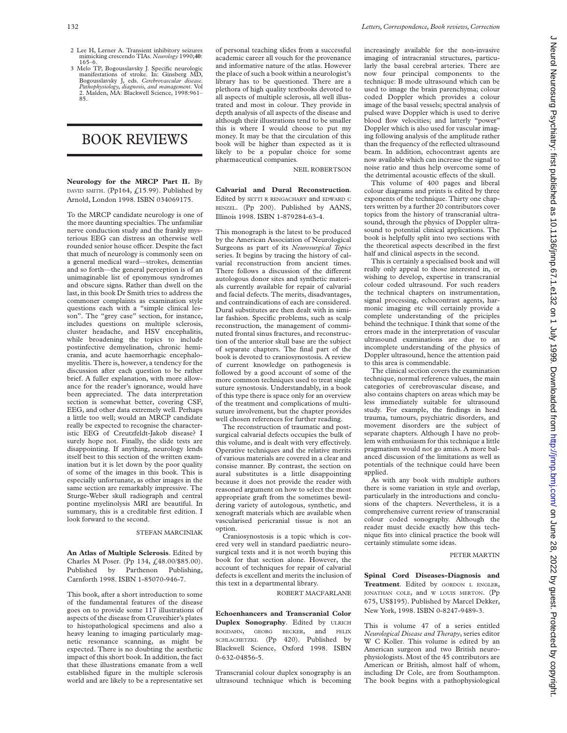- 2 Lee H, Lerner A. Transient inhibitory seizures mimicking crescendo TIAs. *Neurology* 1990;**40**: 165–6.
- 3 Melo TP, Bogousslavsky J. Specific neurologic manifestations of stroke. In: Ginsberg MD, Bogousslavsky J, eds. *Cerebrovascular disease. Pathophysiology, diagnosis, and management*. Vol 2. Malden, MA: Blackwell Science, 1998:961– 85.

# BOOK REVIEWS

**Neurology for the MRCP Part II.** By DAVID SMITH. (Pp164,  $f$ 15.99). Published by Arnold, London 1998. ISBN 034069175.

To the MRCP candidate neurology is one of the more daunting specialties. The unfamiliar nerve conduction study and the frankly mysterious EEG can distress an otherwise well rounded senior house officer. Despite the fact that much of neurology is commonly seen on a general medical ward—strokes, dementias and so forth—the general perception is of an unimaginable list of eponymous syndromes and obscure signs. Rather than dwell on the last, in this book Dr Smith tries to address the commoner complaints as examination style questions each with a "simple clinical lesson". The "grey case" section, for instance, includes questions on multiple sclerosis, cluster headache, and HSV encephalitis, while broadening the topics to include postinfective demyelination, chronic hemicrania, and acute haemorrhagic encephalomyelitis. There is, however, a tendency for the discussion after each question to be rather brief. A fuller explanation, with more allowance for the reader's ignorance, would have been appreciated. The data interpretation section is somewhat better, covering CSF, EEG, and other data extremely well. Perhaps a little too well; would an MRCP candidate really be expected to recognise the characteristic EEG of Creutzfeldt-Jakob disease? I surely hope not. Finally, the slide tests are disappointing. If anything, neurology lends itself best to this section of the written examination but it is let down by the poor quality of some of the images in this book. This is especially unfortunate, as other images in the same section are remarkably impressive. The Sturge-Weber skull radiograph and central pontine myelinolysis MRI are beautiful. In summary, this is a creditable first edition. I look forward to the second.

#### STEFAN MARCINIAK

**An Atlas of Multiple Sclerosis**. Edited by Charles M Poser. (Pp 134, £48.00/\$85.00). Published by Parthenon Publishing, Carnforth 1998. ISBN 1-85070-946-7.

This book, after a short introduction to some of the fundamental features of the disease goes on to provide some 117 illustrations of aspects of the disease from Cruveihier's plates to histopathological specimens and also a heavy leaning to imaging particularly magnetic resonance scanning, as might be expected. There is no doubting the aesthetic impact of this short book. In addition, the fact that these illustrations emanate from a well established figure in the multiple sclerosis world and are likely to be a representative set of personal teaching slides from a successful academic career all vouch for the provenance and informative nature of the atlas. However the place of such a book within a neurologist's library has to be questioned. There are a plethora of high quality textbooks devoted to all aspects of multiple sclerosis, all well illustrated and most in colour. They provide in depth analysis of all aspects of the disease and although their illustrations tend to be smaller this is where I would choose to put my money. It may be that the circulation of this book will be higher than expected as it is likely to be a popular choice for some pharmaceutical companies.

NEIL ROBERTSON

**Calvarial and Dural Reconstruction**. Edited by SETTI R RENGACHARY and EDWARD C BENZEL. (Pp 200). Published by AANS, Illinois 1998. ISBN 1-879284-63-4.

This monograph is the latest to be produced by the American Association of Neurological Surgeons as part of its *Neurosurgical Topics* series. It begins by tracing the history of calvarial reconstruction from ancient times. There follows a discussion of the different autologous donor sites and synthetic materials currently available for repair of calvarial and facial defects. The merits, disadvantages, and contraindications of each are considered. Dural substitutes are then dealt with in similar fashion. Specific problems, such as scalp reconstruction, the management of comminuted frontal sinus fractures, and reconstruction of the anterior skull base are the subject of separate chapters. The final part of the book is devoted to craniosynostosis. A review of current knowledge on pathogenesis is followed by a good account of some of the more common techniques used to treat single suture synostosis. Understandably, in a book of this type there is space only for an overview of the treatment and complications of multisuture involvement, but the chapter provides well chosen references for further reading.

The reconstruction of traumatic and postsurgical calvarial defects occupies the bulk of this volume, and is dealt with very effectively. Operative techniques and the relative merits of various materials are covered in a clear and consise manner. By contrast, the section on aural substitutes is a little disappointing because it does not provide the reader with reasoned argument on how to select the most appropriate graft from the sometimes bewildering variety of autologous, synthetic, and xenograft materials which are available when vascularised pericranial tissue is not an option.

Craniosynostosis is a topic which is covered very well in standard paediatric neurosurgical texts and it is not worth buying this book for that section alone. However, the account of techniques for repair of calvarial defects is excellent and merits the inclusion of this text in a departmental library.

ROBERT MACFARLANE

# **Echoenhancers and Transcranial Color**

**Duplex Sonography**. Edited by ULRICH BOGDAHN, GEORG BECKER, and FELIX SCHLACHETZKI. (Pp 420). Published by Blackwell Science, Oxford 1998. ISBN 0-632-04856-5.

Transcranial colour duplex sonography is an ultrasound technique which is becoming

increasingly available for the non-invasive imaging of intracranial structures, particularly the basal cerebral arteries. There are now four principal components to the technique: B mode ultrasound which can be used to image the brain parenchyma; colour coded Doppler which provides a colour image of the basal vessels; spectral analysis of pulsed wave Doppler which is used to derive blood flow velocities; and latterly "power" Doppler which is also used for vascular imaging following analysis of the amplitude rather than the frequency of the reflected ultrasound beam. In addition, echocontrast agents are now available which can increase the signal to noise ratio and thus help overcome some of the detrimental acoustic effects of the skull.

This volume of 400 pages and liberal colour diagrams and prints is edited by three exponents of the technique. Thirty one chapters written by a further 20 contributors cover topics from the history of transcranial ultrasound, through the physics of Doppler ultrasound to potential clinical applications. The book is helpfully split into two sections with the theoretical aspects described in the first half and clinical aspects in the second.

This is certainly a specialised book and will really only appeal to those interested in, or wishing to develop, expertise in transcranial colour coded ultrasound. For such readers the technical chapters on instrumentation, signal processing, echocontrast agents, harmonic imaging etc will certainly provide a complete understanding of the priciples behind the technique. I think that some of the errors made in the interpretation of vascular ultrasound examinations are due to an incomplete understanding of the physics of Doppler ultrasound, hence the attention paid to this area is commendable.

The clinical section covers the examination technique, normal reference values, the main categories of cerebrovascular disease, and also contains chapters on areas which may be less immediately suitable for ultrasound study. For example, the findings in head trauma, tumours, psychiatric disorders, and movement disorders are the subject of separate chapters. Although I have no problem with enthusiasm for this technique a little pragmatism would not go amiss. A more balanced discussion of the limitations as well as potentials of the technique could have been applied.

As with any book with multiple authors there is some variation in style and overlap, particularly in the introductions and conclusions of the chapters. Nevertheless, it is a comprehensive current review of transcranial colour coded sonography. Although the reader must decide exactly how this technique fits into clinical practice the book will certainly stimulate some ideas.

PETER MARTIN

**Spinal Cord Diseases-Diagnosis and Treatment**. Edited by GORDON L ENGLER, JONATHAN COLE, and W LOUIS MERTON. (Pp 675, US\$195). Published by Marcel Dekker, New York, 1998. ISBN 0-8247-9489-3.

This is volume 47 of a series entitled *Neurological Disease and Therapy*, series editor W C Koller. This volume is edited by an American surgeon and two British neurophysiologists. Most of the 45 contributors are American or British, almost half of whom, including Dr Cole, are from Southampton. The book begins with a pathophysiological